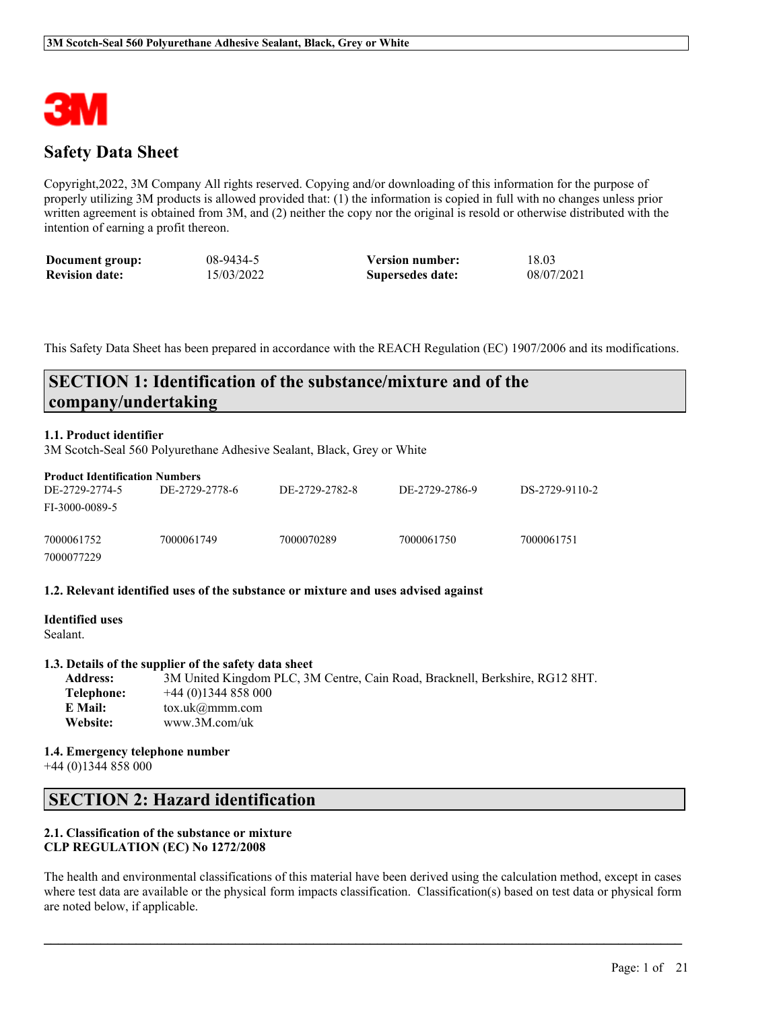

# **Safety Data Sheet**

Copyright,2022, 3M Company All rights reserved. Copying and/or downloading of this information for the purpose of properly utilizing 3M products is allowed provided that: (1) the information is copied in full with no changes unless prior written agreement is obtained from 3M, and (2) neither the copy nor the original is resold or otherwise distributed with the intention of earning a profit thereon.

| Document group:       | 08-9434-5  | <b>Version number:</b> | 18.03      |
|-----------------------|------------|------------------------|------------|
| <b>Revision date:</b> | 15/03/2022 | Supersedes date:       | 08/07/2021 |

This Safety Data Sheet has been prepared in accordance with the REACH Regulation (EC) 1907/2006 and its modifications.

# **SECTION 1: Identification of the substance/mixture and of the company/undertaking**

### **1.1. Product identifier**

3M Scotch-Seal 560 Polyurethane Adhesive Sealant, Black, Grey or White

| <b>Product Identification Numbers</b> |                |                |                |                |
|---------------------------------------|----------------|----------------|----------------|----------------|
| DE-2729-2774-5                        | DE-2729-2778-6 | DE-2729-2782-8 | DE-2729-2786-9 | DS-2729-9110-2 |
| FI-3000-0089-5                        |                |                |                |                |
| 7000061752                            | 7000061749     | 7000070289     | 7000061750     | 7000061751     |
| 7000077229                            |                |                |                |                |

#### **1.2. Relevant identified uses of the substance or mixture and uses advised against**

| <b>Identified uses</b> |  |  |
|------------------------|--|--|
| Sealant.               |  |  |
|                        |  |  |

# **1.3. Details of the supplier of the safety data sheet**

| <b>Address:</b> | 3M United Kingdom PLC, 3M Centre, Cain Road, Bracknell, Berkshire, RG12 8HT. |
|-----------------|------------------------------------------------------------------------------|
| Telephone:      | $+44(0)1344858000$                                                           |
| E Mail:         | tox.uk@mmm.com                                                               |
| Website:        | www.3M.com/uk                                                                |

#### **1.4. Emergency telephone number**

+44 (0)1344 858 000

# **SECTION 2: Hazard identification**

# **2.1. Classification of the substance or mixture CLP REGULATION (EC) No 1272/2008**

The health and environmental classifications of this material have been derived using the calculation method, except in cases where test data are available or the physical form impacts classification. Classification(s) based on test data or physical form are noted below, if applicable.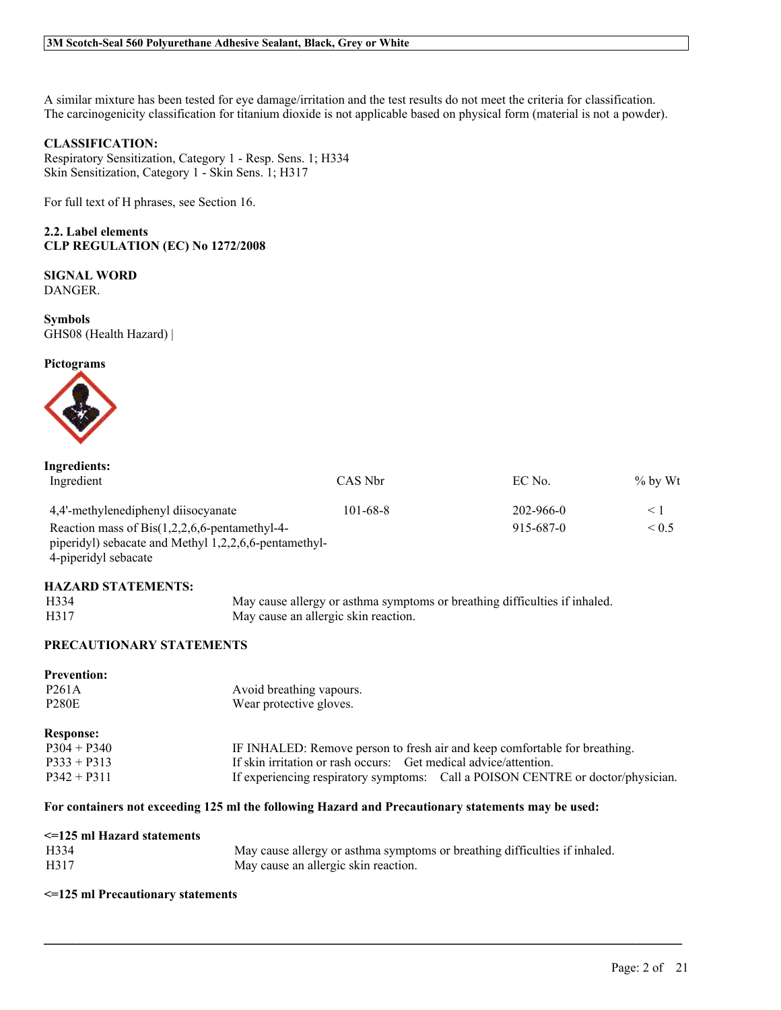A similar mixture has been tested for eye damage/irritation and the test results do not meet the criteria for classification. The carcinogenicity classification for titanium dioxide is not applicable based on physical form (material is not a powder).

# **CLASSIFICATION:**

Respiratory Sensitization, Category 1 - Resp. Sens. 1; H334 Skin Sensitization, Category 1 - Skin Sens. 1; H317

For full text of H phrases, see Section 16.

**2.2. Label elements CLP REGULATION (EC) No 1272/2008**

**SIGNAL WORD** DANGER.

**Symbols** GHS08 (Health Hazard) |

#### **Pictograms**



| Ingredients:                                          |                |           |            |
|-------------------------------------------------------|----------------|-----------|------------|
| Ingredient                                            | CAS Nbr        | EC No.    | $\%$ by Wt |
| 4,4'-methylenediphenyl diisocyanate                   | $101 - 68 - 8$ | 202-966-0 | < ।        |
| Reaction mass of $Bis(1,2,2,6,6$ -pentamethyl-4-      |                | 915-687-0 | $\leq 0.5$ |
| piperidyl) sebacate and Methyl 1,2,2,6,6-pentamethyl- |                |           |            |
| 4-piperidyl sebacate                                  |                |           |            |

#### **HAZARD STATEMENTS:**

| H334 | May cause allergy or asthma symptoms or breathing difficulties if inhaled. |
|------|----------------------------------------------------------------------------|
| H317 | May cause an allergic skin reaction.                                       |

# **PRECAUTIONARY STATEMENTS**

| <b>Prevention:</b> |                                                                                 |
|--------------------|---------------------------------------------------------------------------------|
| P <sub>261</sub> A | Avoid breathing vapours.                                                        |
| <b>P280E</b>       | Wear protective gloves.                                                         |
| <b>Response:</b>   |                                                                                 |
| $P304 + P340$      | IF INHALED: Remove person to fresh air and keep comfortable for breathing.      |
| $P333 + P313$      | If skin irritation or rash occurs: Get medical advice/attention.                |
| $P342 + P311$      | If experiencing respiratory symptoms: Call a POISON CENTRE or doctor/physician. |

 $\mathcal{L}_\mathcal{L} = \mathcal{L}_\mathcal{L} = \mathcal{L}_\mathcal{L} = \mathcal{L}_\mathcal{L} = \mathcal{L}_\mathcal{L} = \mathcal{L}_\mathcal{L} = \mathcal{L}_\mathcal{L} = \mathcal{L}_\mathcal{L} = \mathcal{L}_\mathcal{L} = \mathcal{L}_\mathcal{L} = \mathcal{L}_\mathcal{L} = \mathcal{L}_\mathcal{L} = \mathcal{L}_\mathcal{L} = \mathcal{L}_\mathcal{L} = \mathcal{L}_\mathcal{L} = \mathcal{L}_\mathcal{L} = \mathcal{L}_\mathcal{L}$ 

### **For containers not exceeding 125 ml the following Hazard and Precautionary statements may be used:**

| <=125 ml Hazard statements |                                                                            |
|----------------------------|----------------------------------------------------------------------------|
| H334                       | May cause allergy or asthma symptoms or breathing difficulties if inhaled. |
| H317                       | May cause an allergic skin reaction.                                       |

#### **<=125 ml Precautionary statements**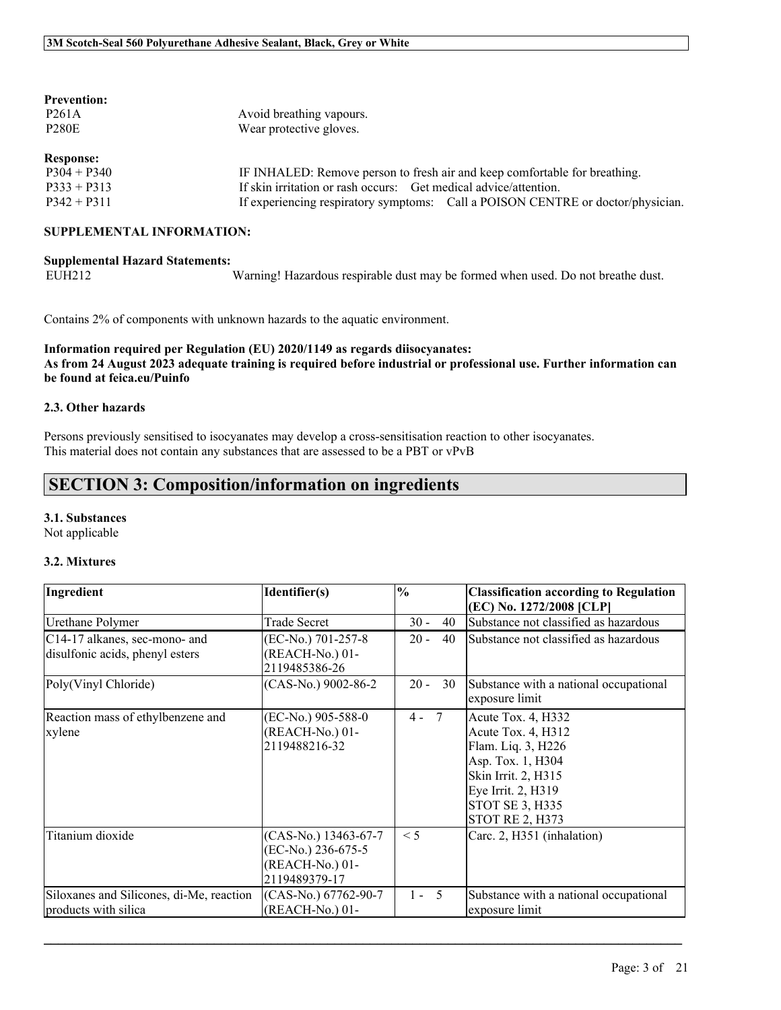# **Prevention:**

| P <sub>261</sub> A | Avoid breathing vapours.                                                   |
|--------------------|----------------------------------------------------------------------------|
| <b>P280E</b>       | Wear protective gloves.                                                    |
|                    |                                                                            |
| <b>Response:</b>   |                                                                            |
| $P304 + P340$      | IF INHALED: Remove person to fresh air and keep comfortable for breathing. |
| $P333 + P313$      | If skin irritation or rash occurs: Get medical advice/attention.           |

P342 + P311 If experiencing respiratory symptoms: Call a POISON CENTRE or doctor/physician.

### **SUPPLEMENTAL INFORMATION:**

**Supplemental Hazard Statements:** Warning! Hazardous respirable dust may be formed when used. Do not breathe dust.

Contains 2% of components with unknown hazards to the aquatic environment.

# **Information required per Regulation (EU) 2020/1149 as regards diisocyanates:** As from 24 August 2023 adequate training is required before industrial or professional use. Further information can **be found at feica.eu/Puinfo**

### **2.3. Other hazards**

Persons previously sensitised to isocyanates may develop a cross-sensitisation reaction to other isocyanates. This material does not contain any substances that are assessed to be a PBT or vPvB

# **SECTION 3: Composition/information on ingredients**

### **3.1. Substances**

Not applicable

### **3.2. Mixtures**

| Ingredient                                                       | Identifier(s)                                                                  | $\frac{0}{0}$            | <b>Classification according to Regulation</b><br>(EC) No. 1272/2008 [CLP]                                                                                                            |
|------------------------------------------------------------------|--------------------------------------------------------------------------------|--------------------------|--------------------------------------------------------------------------------------------------------------------------------------------------------------------------------------|
| Urethane Polymer                                                 | Trade Secret                                                                   | $30 -$<br>40             | Substance not classified as hazardous                                                                                                                                                |
| C14-17 alkanes, sec-mono- and<br>disulfonic acids, phenyl esters | (EC-No.) 701-257-8<br>(REACH-No.) 01-<br>2119485386-26                         | $20 -$<br>40             | Substance not classified as hazardous                                                                                                                                                |
| Poly(Vinyl Chloride)                                             | (CAS-No.) 9002-86-2                                                            | $20 -$<br>30             | Substance with a national occupational<br>exposure limit                                                                                                                             |
| Reaction mass of ethylbenzene and<br>xylene                      | (EC-No.) 905-588-0<br>(REACH-No.) 01-<br>2119488216-32                         | $7\overline{ }$<br>$4 -$ | Acute Tox. 4, H332<br>Acute Tox. 4, H312<br>Flam. Liq. 3, H226<br>Asp. Tox. 1, H304<br>Skin Irrit. 2, H315<br>Eye Irrit. 2, H319<br><b>STOT SE 3, H335</b><br><b>STOT RE 2, H373</b> |
| Titanium dioxide                                                 | (CAS-No.) 13463-67-7<br>(EC-No.) 236-675-5<br>(REACH-No.) 01-<br>2119489379-17 | $\leq$ 5                 | Carc. 2, H351 (inhalation)                                                                                                                                                           |
| Siloxanes and Silicones, di-Me, reaction<br>products with silica | (CAS-No.) 67762-90-7<br>(REACH-No.) 01-                                        | $1 - 5$                  | Substance with a national occupational<br>exposure limit                                                                                                                             |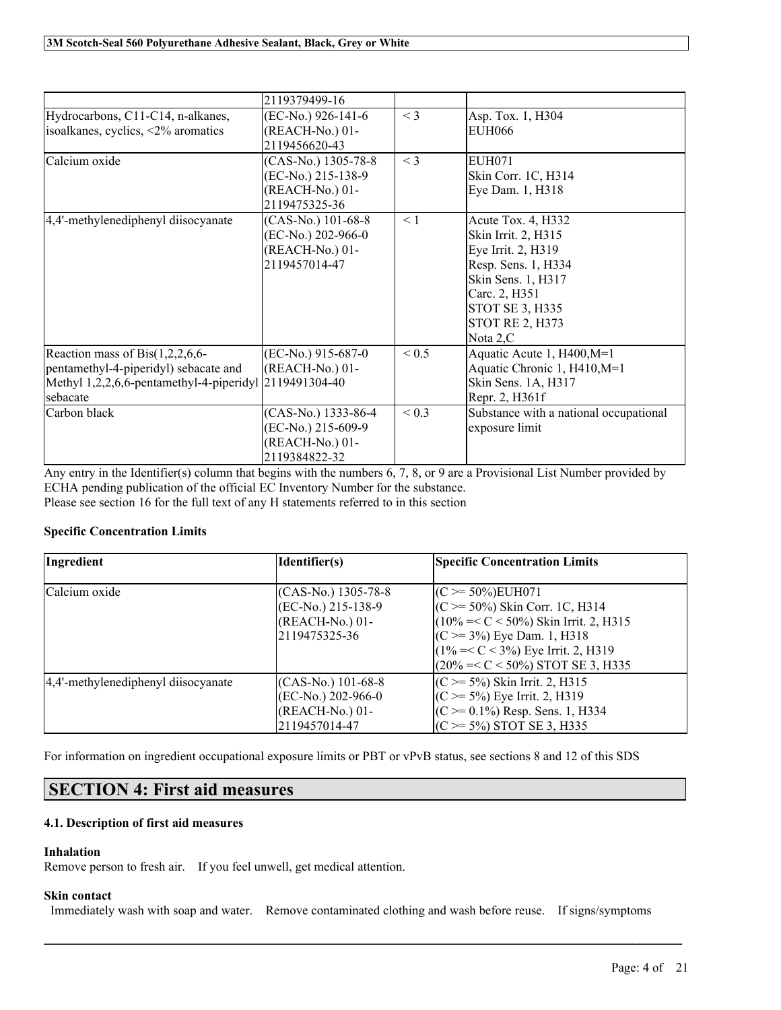|                                                                                                                                                    | 2119379499-16                                                                  |            |                                                                                                                                                                                        |
|----------------------------------------------------------------------------------------------------------------------------------------------------|--------------------------------------------------------------------------------|------------|----------------------------------------------------------------------------------------------------------------------------------------------------------------------------------------|
| Hydrocarbons, C11-C14, n-alkanes,<br>isoalkanes, cyclics, <2% aromatics                                                                            | (EC-No.) 926-141-6<br>(REACH-No.) 01-<br>2119456620-43                         | $<$ 3      | Asp. Tox. 1, H304<br><b>EUH066</b>                                                                                                                                                     |
| Calcium oxide                                                                                                                                      | (CAS-No.) 1305-78-8<br>(EC-No.) 215-138-9<br>(REACH-No.) 01-<br>2119475325-36  | $<$ 3      | <b>EUH071</b><br>Skin Corr. 1C, H314<br>Eye Dam. 1, H318                                                                                                                               |
| 4,4'-methylenediphenyl diisocyanate                                                                                                                | $(CAS-No.)$ 101-68-8<br>(EC-No.) 202-966-0<br>(REACH-No.) 01-<br>2119457014-47 | $\leq 1$   | Acute Tox. 4, H332<br>Skin Irrit. 2, H315<br>Eye Irrit. 2, H319<br>Resp. Sens. 1, H334<br>Skin Sens. 1, H317<br>Carc. 2, H351<br>STOT SE 3, H335<br><b>STOT RE 2, H373</b><br>Nota 2,C |
| Reaction mass of Bis $(1,2,2,6,6$ -<br>pentamethyl-4-piperidyl) sebacate and<br>Methyl 1,2,2,6,6-pentamethyl-4-piperidyl 2119491304-40<br>sebacate | (EC-No.) 915-687-0<br>(REACH-No.) 01-                                          | ${}_{0.5}$ | Aquatic Acute 1, H400, M=1<br>Aquatic Chronic 1, H410, M=1<br>Skin Sens. 1A, H317<br>Repr. 2, H361f                                                                                    |
| Carbon black                                                                                                                                       | (CAS-No.) 1333-86-4<br>(EC-No.) 215-609-9<br>(REACH-No.) 01-<br>2119384822-32  | ${}_{0.3}$ | Substance with a national occupational<br>exposure limit                                                                                                                               |

Any entry in the Identifier(s) column that begins with the numbers 6, 7, 8, or 9 are a Provisional List Number provided by ECHA pending publication of the official EC Inventory Number for the substance. Please see section 16 for the full text of any H statements referred to in this section

# **Specific Concentration Limits**

| Ingredient                          | Identifier(s)        | <b>Specific Concentration Limits</b>      |
|-------------------------------------|----------------------|-------------------------------------------|
|                                     |                      |                                           |
| Calcium oxide                       | $(CAS-N0)$ 1305-78-8 | $(C \ge 50\%)$ EUH071                     |
|                                     | $(EC-No.) 215-138-9$ | $(C \ge 50\%)$ Skin Corr. 1C, H314        |
|                                     | (REACH-No.) 01-      | $(10\% = < C < 50\%)$ Skin Irrit. 2, H315 |
|                                     | 2119475325-36        | $(C \ge 3\%)$ Eye Dam. 1, H318            |
|                                     |                      | $(1\% << 3\%)$ Eye Irrit. 2, H319         |
|                                     |                      | $(20\% = < C < 50\%)$ STOT SE 3, H335     |
| 4,4'-methylenediphenyl diisocyanate | (CAS-No.) 101-68-8   | $(C \ge 5\%)$ Skin Irrit. 2, H315         |
|                                     | $(EC-No.) 202-966-0$ | $(C \ge 5\%)$ Eye Irrit. 2, H319          |
|                                     | $(REACH-No.) 01-$    | $(C \ge 0.1\%)$ Resp. Sens. 1, H334       |
|                                     | 2119457014-47        | $(C \ge 5\%)$ STOT SE 3, H335             |

For information on ingredient occupational exposure limits or PBT or vPvB status, see sections 8 and 12 of this SDS

# **SECTION 4: First aid measures**

# **4.1. Description of first aid measures**

# **Inhalation**

Remove person to fresh air. If you feel unwell, get medical attention.

#### **Skin contact**

Immediately wash with soap and water. Remove contaminated clothing and wash before reuse. If signs/symptoms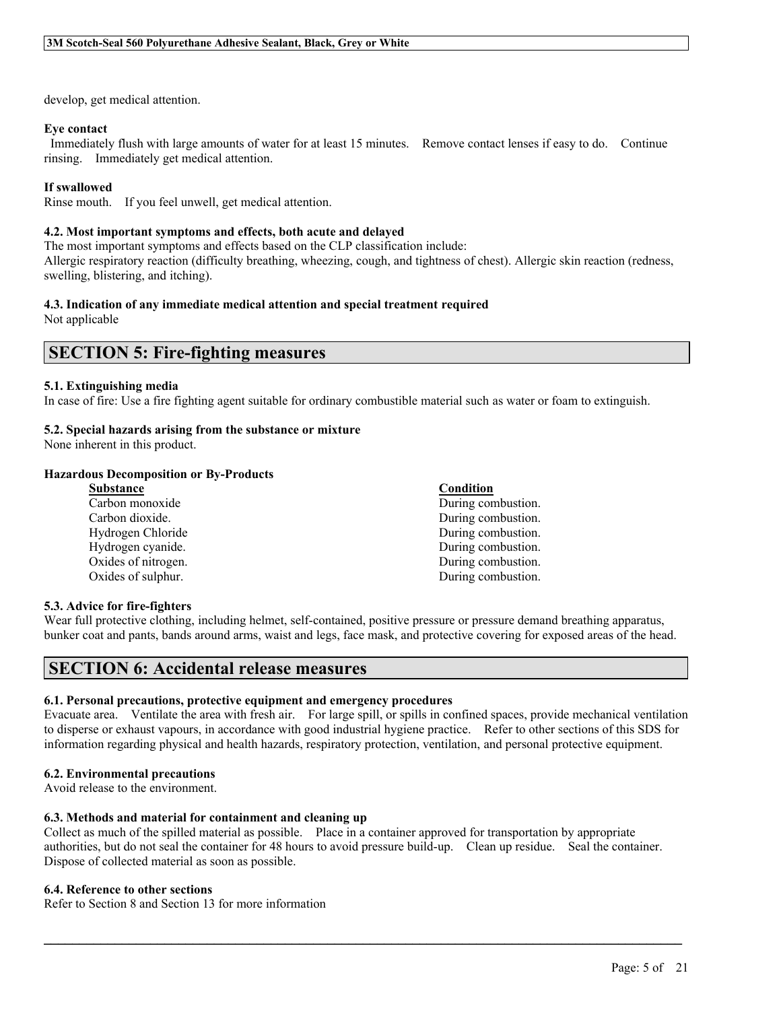develop, get medical attention.

# **Eye contact**

Immediately flush with large amounts of water for at least 15 minutes. Remove contact lenses if easy to do. Continue rinsing. Immediately get medical attention.

# **If swallowed**

Rinse mouth. If you feel unwell, get medical attention.

### **4.2. Most important symptoms and effects, both acute and delayed**

The most important symptoms and effects based on the CLP classification include: Allergic respiratory reaction (difficulty breathing, wheezing, cough, and tightness of chest). Allergic skin reaction (redness, swelling, blistering, and itching).

#### **4.3. Indication of any immediate medical attention and special treatment required** Not applicable

**SECTION 5: Fire-fighting measures**

# **5.1. Extinguishing media**

In case of fire: Use a fire fighting agent suitable for ordinary combustible material such as water or foam to extinguish.

### **5.2. Special hazards arising from the substance or mixture**

None inherent in this product.

### **Hazardous Decomposition or By-Products**

| Substance           | Condition          |
|---------------------|--------------------|
| Carbon monoxide     | During combustion. |
| Carbon dioxide.     | During combustion. |
| Hydrogen Chloride   | During combustion. |
| Hydrogen cyanide.   | During combustion. |
| Oxides of nitrogen. | During combustion. |
| Oxides of sulphur.  | During combustion. |
|                     |                    |

#### **5.3. Advice for fire-fighters**

Wear full protective clothing, including helmet, self-contained, positive pressure or pressure demand breathing apparatus, bunker coat and pants, bands around arms, waist and legs, face mask, and protective covering for exposed areas of the head.

# **SECTION 6: Accidental release measures**

#### **6.1. Personal precautions, protective equipment and emergency procedures**

Evacuate area. Ventilate the area with fresh air. For large spill, or spills in confined spaces, provide mechanical ventilation to disperse or exhaust vapours, in accordance with good industrial hygiene practice. Refer to other sections of this SDS for information regarding physical and health hazards, respiratory protection, ventilation, and personal protective equipment.

#### **6.2. Environmental precautions**

Avoid release to the environment.

### **6.3. Methods and material for containment and cleaning up**

Collect as much of the spilled material as possible. Place in a container approved for transportation by appropriate authorities, but do not seal the container for 48 hours to avoid pressure build-up. Clean up residue. Seal the container. Dispose of collected material as soon as possible.

 $\mathcal{L}_\mathcal{L} = \mathcal{L}_\mathcal{L} = \mathcal{L}_\mathcal{L} = \mathcal{L}_\mathcal{L} = \mathcal{L}_\mathcal{L} = \mathcal{L}_\mathcal{L} = \mathcal{L}_\mathcal{L} = \mathcal{L}_\mathcal{L} = \mathcal{L}_\mathcal{L} = \mathcal{L}_\mathcal{L} = \mathcal{L}_\mathcal{L} = \mathcal{L}_\mathcal{L} = \mathcal{L}_\mathcal{L} = \mathcal{L}_\mathcal{L} = \mathcal{L}_\mathcal{L} = \mathcal{L}_\mathcal{L} = \mathcal{L}_\mathcal{L}$ 

#### **6.4. Reference to other sections**

Refer to Section 8 and Section 13 for more information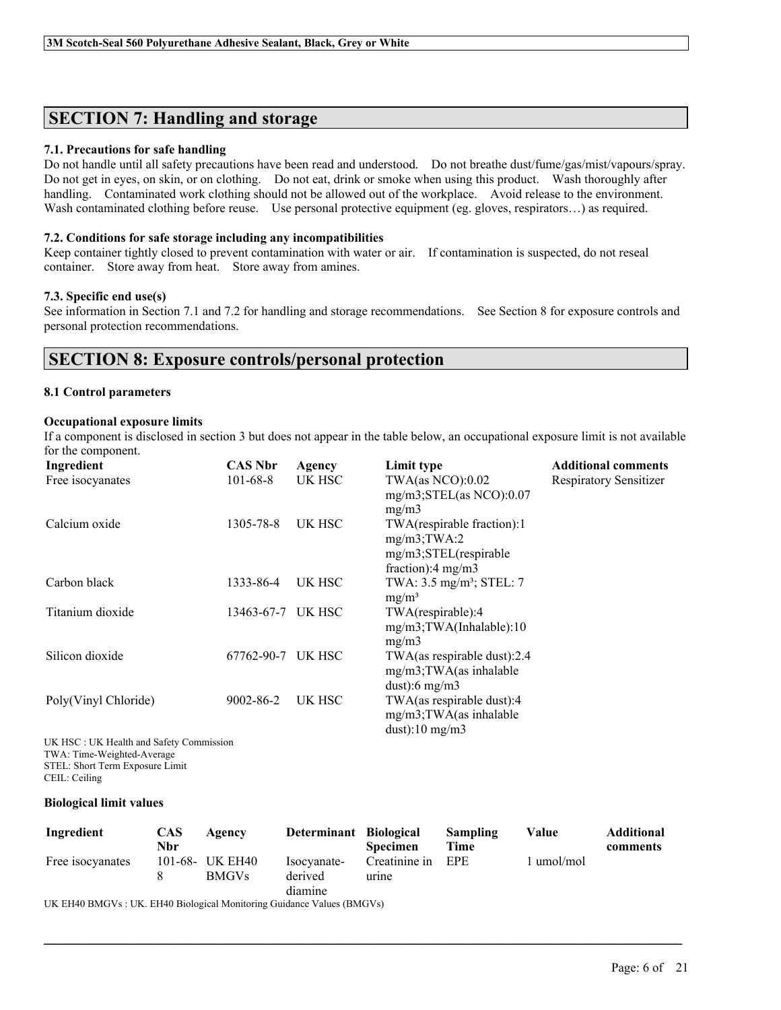# **SECTION 7: Handling and storage**

### **7.1. Precautions for safe handling**

Do not handle until all safety precautions have been read and understood. Do not breathe dust/fume/gas/mist/vapours/spray. Do not get in eyes, on skin, or on clothing. Do not eat, drink or smoke when using this product. Wash thoroughly after handling. Contaminated work clothing should not be allowed out of the workplace. Avoid release to the environment. Wash contaminated clothing before reuse. Use personal protective equipment (eg. gloves, respirators...) as required.

### **7.2. Conditions for safe storage including any incompatibilities**

Keep container tightly closed to prevent contamination with water or air. If contamination is suspected, do not reseal container. Store away from heat. Store away from amines.

### **7.3. Specific end use(s)**

See information in Section 7.1 and 7.2 for handling and storage recommendations. See Section 8 for exposure controls and personal protection recommendations.

# **SECTION 8: Exposure controls/personal protection**

# **8.1 Control parameters**

# **Occupational exposure limits**

If a component is disclosed in section 3 but does not appear in the table below, an occupational exposure limit is not available for the component.

| Ingredient           | <b>CAS Nbr</b> | Agency | Limit type                                                                                                           | <b>Additional comments</b>    |
|----------------------|----------------|--------|----------------------------------------------------------------------------------------------------------------------|-------------------------------|
| Free isocyanates     | $101 - 68 - 8$ | UK HSC | $TWA$ (as NCO): $0.02$<br>$mg/m3$ ; STEL(as NCO): 0.07                                                               | <b>Respiratory Sensitizer</b> |
| Calcium oxide        | 1305-78-8      | UK HSC | mg/m3<br>TWA(respirable fraction):1<br>$mg/m3$ ; TWA:2<br>$mg/m3$ ; STEL(respirable<br>fraction): $4 \text{ mg/m}$ 3 |                               |
| Carbon black         | 1333-86-4      | UK HSC | TWA: 3.5 mg/m <sup>3</sup> ; STEL: 7<br>$mg/m^3$                                                                     |                               |
| Titanium dioxide     | 13463-67-7     | UK HSC | TWA(respirable):4<br>mg/m3;TWA(Inhalable):10<br>mg/m3                                                                |                               |
| Silicon dioxide      | 67762-90-7     | UK HSC | TWA(as respirable dust):2.4<br>$mg/m3$ ; TWA(as inhalable<br>dust: 6 mg/m $3$                                        |                               |
| Poly(Vinyl Chloride) | 9002-86-2      | UK HSC | TWA(as respirable dust):4<br>mg/m3;TWA(as inhalable<br>dust):10 $mg/m3$                                              |                               |

UK HSC : UK Health and Safety Commission TWA: Time-Weighted-Average STEL: Short Term Exposure Limit CEIL: Ceiling

### **Biological limit values**

| Ingredient                                                             | <b>CAS</b> | Agency          | Determinant Biological |                 | Sampling | Value      | <b>Additional</b> |
|------------------------------------------------------------------------|------------|-----------------|------------------------|-----------------|----------|------------|-------------------|
|                                                                        | Nbr        |                 |                        | <b>Specimen</b> | Time     |            | comments          |
| Free isocyanates                                                       |            | 101-68- UK EH40 | Isocyanate-            | Creatinine in   | EPE      | 1 umol/mol |                   |
|                                                                        |            | <b>BMGVs</b>    | derived                | urine           |          |            |                   |
|                                                                        |            |                 | diamine                |                 |          |            |                   |
| UK EH40 BMGVs : UK. EH40 Biological Monitoring Guidance Values (BMGVs) |            |                 |                        |                 |          |            |                   |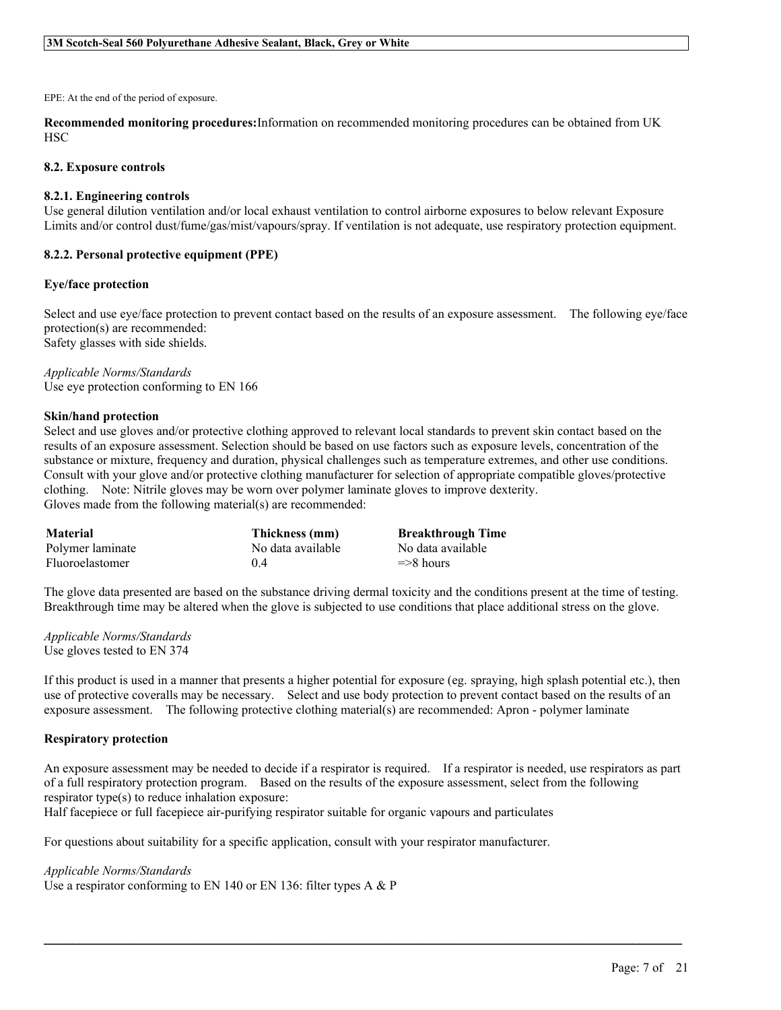EPE: At the end of the period of exposure.

**Recommended monitoring procedures:**Information on recommended monitoring procedures can be obtained from UK HSC

#### **8.2. Exposure controls**

#### **8.2.1. Engineering controls**

Use general dilution ventilation and/or local exhaust ventilation to control airborne exposures to below relevant Exposure Limits and/or control dust/fume/gas/mist/vapours/spray. If ventilation is not adequate, use respiratory protection equipment.

#### **8.2.2. Personal protective equipment (PPE)**

#### **Eye/face protection**

Select and use eye/face protection to prevent contact based on the results of an exposure assessment. The following eye/face protection(s) are recommended: Safety glasses with side shields.

*Applicable Norms/Standards* Use eye protection conforming to EN 166

#### **Skin/hand protection**

Select and use gloves and/or protective clothing approved to relevant local standards to prevent skin contact based on the results of an exposure assessment. Selection should be based on use factors such as exposure levels, concentration of the substance or mixture, frequency and duration, physical challenges such as temperature extremes, and other use conditions. Consult with your glove and/or protective clothing manufacturer for selection of appropriate compatible gloves/protective clothing. Note: Nitrile gloves may be worn over polymer laminate gloves to improve dexterity. Gloves made from the following material(s) are recommended:

| <b>Material</b>  | Thickness (mm)    | <b>Breakthrough Time</b> |
|------------------|-------------------|--------------------------|
| Polymer laminate | No data available | No data available        |
| Fluoroelastomer  | 04                | $\Rightarrow$ 8 hours    |

The glove data presented are based on the substance driving dermal toxicity and the conditions present at the time of testing. Breakthrough time may be altered when the glove is subjected to use conditions that place additional stress on the glove.

*Applicable Norms/Standards* Use gloves tested to EN 374

If this product is used in a manner that presents a higher potential for exposure (eg. spraying, high splash potential etc.), then use of protective coveralls may be necessary. Select and use body protection to prevent contact based on the results of an exposure assessment. The following protective clothing material(s) are recommended: Apron - polymer laminate

#### **Respiratory protection**

An exposure assessment may be needed to decide if a respirator is required. If a respirator is needed, use respirators as part of a full respiratory protection program. Based on the results of the exposure assessment, select from the following respirator type(s) to reduce inhalation exposure:

 $\mathcal{L}_\mathcal{L} = \mathcal{L}_\mathcal{L} = \mathcal{L}_\mathcal{L} = \mathcal{L}_\mathcal{L} = \mathcal{L}_\mathcal{L} = \mathcal{L}_\mathcal{L} = \mathcal{L}_\mathcal{L} = \mathcal{L}_\mathcal{L} = \mathcal{L}_\mathcal{L} = \mathcal{L}_\mathcal{L} = \mathcal{L}_\mathcal{L} = \mathcal{L}_\mathcal{L} = \mathcal{L}_\mathcal{L} = \mathcal{L}_\mathcal{L} = \mathcal{L}_\mathcal{L} = \mathcal{L}_\mathcal{L} = \mathcal{L}_\mathcal{L}$ 

Half facepiece or full facepiece air-purifying respirator suitable for organic vapours and particulates

For questions about suitability for a specific application, consult with your respirator manufacturer.

#### *Applicable Norms/Standards*

Use a respirator conforming to EN 140 or EN 136: filter types A & P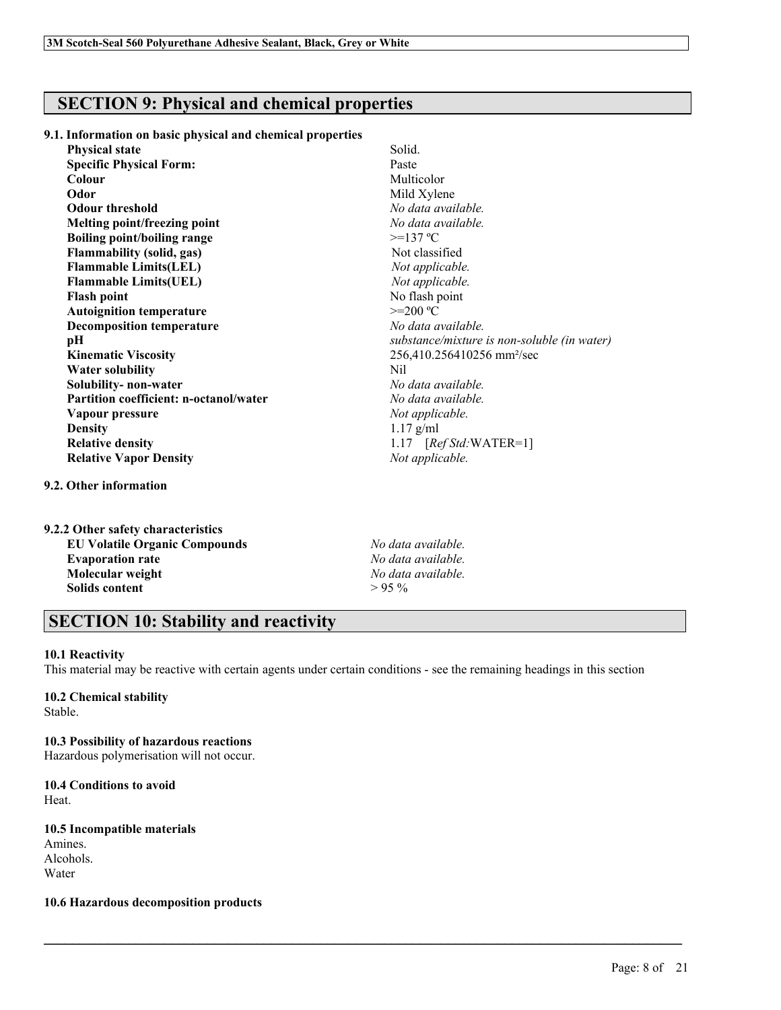# **SECTION 9: Physical and chemical properties**

**9.1. Information on basic physical and chemical properties**

| <b>Physical state</b>                         | Solid.                                      |
|-----------------------------------------------|---------------------------------------------|
| <b>Specific Physical Form:</b>                | Paste                                       |
| Colour                                        | Multicolor                                  |
| Odor                                          | Mild Xylene                                 |
| <b>Odour threshold</b>                        | No data available.                          |
| Melting point/freezing point                  | No data available.                          |
| <b>Boiling point/boiling range</b>            | $>=137 °C$                                  |
| <b>Flammability (solid, gas)</b>              | Not classified                              |
| <b>Flammable Limits(LEL)</b>                  | Not applicable.                             |
| <b>Flammable Limits(UEL)</b>                  | Not applicable.                             |
| <b>Flash point</b>                            | No flash point                              |
| <b>Autoignition temperature</b>               | $>=200 °C$                                  |
| <b>Decomposition temperature</b>              | No data available.                          |
| pН                                            | substance/mixture is non-soluble (in water) |
| <b>Kinematic Viscosity</b>                    | 256,410.256410256 mm <sup>2</sup> /sec      |
| <b>Water solubility</b>                       | Nil                                         |
| Solubility- non-water                         | No data available.                          |
| <b>Partition coefficient: n-octanol/water</b> | No data available.                          |
| Vapour pressure                               | Not applicable.                             |
| <b>Density</b>                                | $1.17$ g/ml                                 |
| <b>Relative density</b>                       | 1.17 $[RefStd:WATER=1]$                     |
| <b>Relative Vapor Density</b>                 | Not applicable.                             |
|                                               |                                             |

# **9.2. Other information**

| 9.2.2 Other safety characteristics   |  |
|--------------------------------------|--|
| <b>EU Volatile Organic Compounds</b> |  |
| <b>Evaporation rate</b>              |  |
| Molecular weight                     |  |
| Solids content                       |  |

**EU Volatile Organic Compounds** *No data available.* **Evaporation rate** *No data available.* **Molecular weight** *No data available.*  $> 95\%$ 

# **SECTION 10: Stability and reactivity**

# **10.1 Reactivity**

This material may be reactive with certain agents under certain conditions - see the remaining headings in this section

 $\mathcal{L}_\mathcal{L} = \mathcal{L}_\mathcal{L} = \mathcal{L}_\mathcal{L} = \mathcal{L}_\mathcal{L} = \mathcal{L}_\mathcal{L} = \mathcal{L}_\mathcal{L} = \mathcal{L}_\mathcal{L} = \mathcal{L}_\mathcal{L} = \mathcal{L}_\mathcal{L} = \mathcal{L}_\mathcal{L} = \mathcal{L}_\mathcal{L} = \mathcal{L}_\mathcal{L} = \mathcal{L}_\mathcal{L} = \mathcal{L}_\mathcal{L} = \mathcal{L}_\mathcal{L} = \mathcal{L}_\mathcal{L} = \mathcal{L}_\mathcal{L}$ 

# **10.2 Chemical stability**

Stable.

# **10.3 Possibility of hazardous reactions**

Hazardous polymerisation will not occur.

### **10.4 Conditions to avoid** Heat.

# **10.5 Incompatible materials**

Amines. Alcohols. Water

# **10.6 Hazardous decomposition products**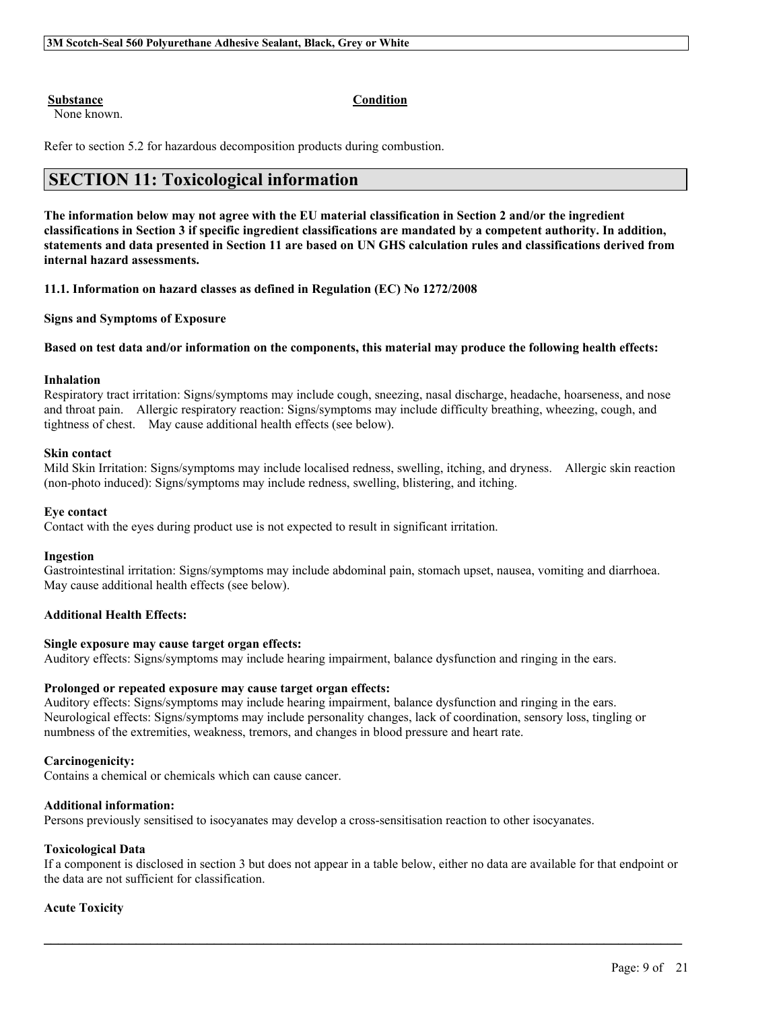#### **Substance Condition**

None known.

Refer to section 5.2 for hazardous decomposition products during combustion.

# **SECTION 11: Toxicological information**

The information below may not agree with the EU material classification in Section 2 and/or the ingredient classifications in Section 3 if specific ingredient classifications are mandated by a competent authority. In addition, statements and data presented in Section 11 are based on UN GHS calculation rules and classifications derived from **internal hazard assessments.**

**11.1. Information on hazard classes as defined in Regulation (EC) No 1272/2008**

# **Signs and Symptoms of Exposure**

#### Based on test data and/or information on the components, this material may produce the following health effects:

#### **Inhalation**

Respiratory tract irritation: Signs/symptoms may include cough, sneezing, nasal discharge, headache, hoarseness, and nose and throat pain. Allergic respiratory reaction: Signs/symptoms may include difficulty breathing, wheezing, cough, and tightness of chest. May cause additional health effects (see below).

#### **Skin contact**

Mild Skin Irritation: Signs/symptoms may include localised redness, swelling, itching, and dryness. Allergic skin reaction (non-photo induced): Signs/symptoms may include redness, swelling, blistering, and itching.

#### **Eye contact**

Contact with the eyes during product use is not expected to result in significant irritation.

#### **Ingestion**

Gastrointestinal irritation: Signs/symptoms may include abdominal pain, stomach upset, nausea, vomiting and diarrhoea. May cause additional health effects (see below).

#### **Additional Health Effects:**

### **Single exposure may cause target organ effects:**

Auditory effects: Signs/symptoms may include hearing impairment, balance dysfunction and ringing in the ears.

### **Prolonged or repeated exposure may cause target organ effects:**

Auditory effects: Signs/symptoms may include hearing impairment, balance dysfunction and ringing in the ears. Neurological effects: Signs/symptoms may include personality changes, lack of coordination, sensory loss, tingling or numbness of the extremities, weakness, tremors, and changes in blood pressure and heart rate.

#### **Carcinogenicity:**

Contains a chemical or chemicals which can cause cancer.

#### **Additional information:**

Persons previously sensitised to isocyanates may develop a cross-sensitisation reaction to other isocyanates.

#### **Toxicological Data**

If a component is disclosed in section 3 but does not appear in a table below, either no data are available for that endpoint or the data are not sufficient for classification.

 $\mathcal{L}_\mathcal{L} = \mathcal{L}_\mathcal{L} = \mathcal{L}_\mathcal{L} = \mathcal{L}_\mathcal{L} = \mathcal{L}_\mathcal{L} = \mathcal{L}_\mathcal{L} = \mathcal{L}_\mathcal{L} = \mathcal{L}_\mathcal{L} = \mathcal{L}_\mathcal{L} = \mathcal{L}_\mathcal{L} = \mathcal{L}_\mathcal{L} = \mathcal{L}_\mathcal{L} = \mathcal{L}_\mathcal{L} = \mathcal{L}_\mathcal{L} = \mathcal{L}_\mathcal{L} = \mathcal{L}_\mathcal{L} = \mathcal{L}_\mathcal{L}$ 

#### **Acute Toxicity**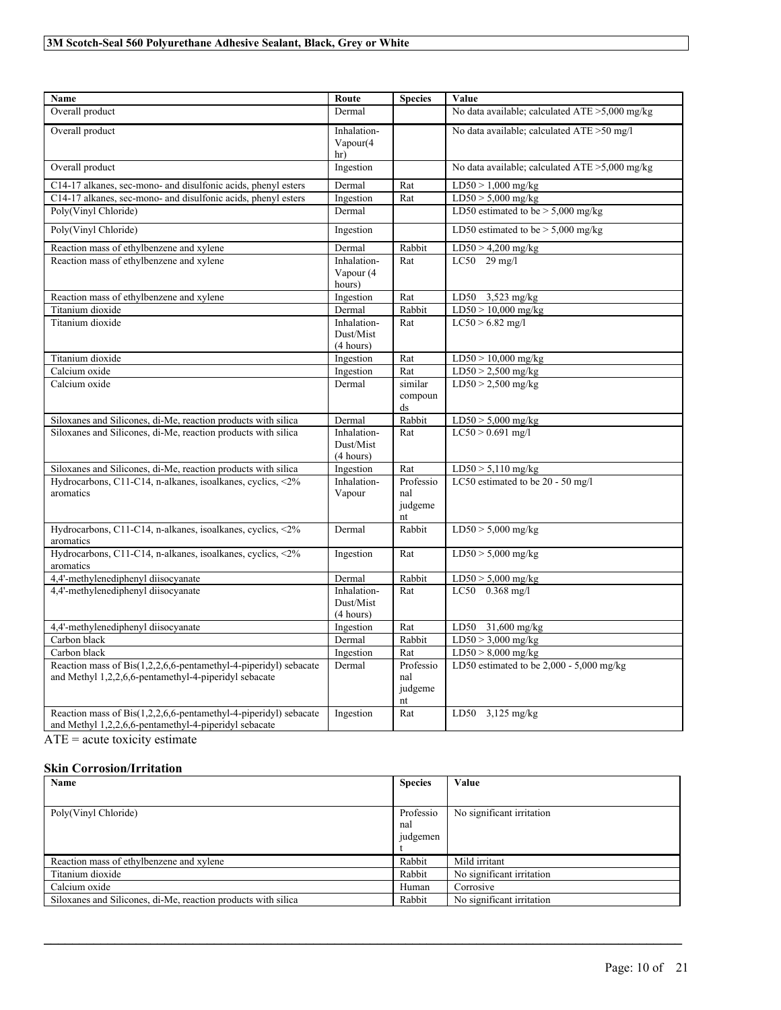| <b>Name</b>                                                                                                               | Route                                 | <b>Species</b>                    | Value                                             |
|---------------------------------------------------------------------------------------------------------------------------|---------------------------------------|-----------------------------------|---------------------------------------------------|
| Overall product                                                                                                           | Dermal                                |                                   | No data available; calculated $ATE > 5,000$ mg/kg |
| Overall product                                                                                                           | Inhalation-<br>Vapour(4)<br>hr)       |                                   | No data available; calculated ATE >50 mg/l        |
| Overall product                                                                                                           | Ingestion                             |                                   | No data available; calculated ATE >5,000 mg/kg    |
| C14-17 alkanes, sec-mono- and disulfonic acids, phenyl esters                                                             | Dermal                                | Rat                               | $LD50 > 1,000$ mg/kg                              |
| C14-17 alkanes, sec-mono- and disulfonic acids, phenyl esters                                                             | Ingestion                             | Rat                               | $LD50 > 5,000$ mg/kg                              |
| Poly(Vinyl Chloride)                                                                                                      | Dermal                                |                                   | LD50 estimated to be $> 5,000$ mg/kg              |
| Poly(Vinyl Chloride)                                                                                                      | Ingestion                             |                                   | LD50 estimated to be $> 5,000$ mg/kg              |
| Reaction mass of ethylbenzene and xylene                                                                                  | Dermal                                | Rabbit                            | $LD50 > 4,200$ mg/kg                              |
| Reaction mass of ethylbenzene and xylene                                                                                  | Inhalation-<br>Vapour (4<br>hours)    | Rat                               | LC50 29 mg/l                                      |
| Reaction mass of ethylbenzene and xylene                                                                                  | Ingestion                             | Rat                               | LD50 $3,523$ mg/kg                                |
| Titanium dioxide                                                                                                          | Dermal                                | Rabbit                            | $LD50 > 10,000$ mg/kg                             |
| Titanium dioxide                                                                                                          | Inhalation-<br>Dust/Mist<br>(4 hours) | Rat                               | $LC50 > 6.82$ mg/l                                |
| Titanium dioxide                                                                                                          | Ingestion                             | Rat                               | $LD50 > 10,000$ mg/kg                             |
| Calcium oxide                                                                                                             | Ingestion                             | Rat                               | $LD50 > 2,500$ mg/kg                              |
| Calcium oxide                                                                                                             | Dermal                                | similar<br>compoun<br>ds          | $LD50 > 2,500$ mg/kg                              |
| Siloxanes and Silicones, di-Me, reaction products with silica                                                             | Dermal                                | Rabbit                            | $LD50 > 5,000$ mg/kg                              |
| Siloxanes and Silicones, di-Me, reaction products with silica                                                             | Inhalation-<br>Dust/Mist<br>(4 hours) | Rat                               | $LC50 > 0.691$ mg/l                               |
| Siloxanes and Silicones, di-Me, reaction products with silica                                                             | Ingestion                             | Rat                               | $LD50 > 5,110$ mg/kg                              |
| Hydrocarbons, C11-C14, n-alkanes, isoalkanes, cyclics, <2%<br>aromatics                                                   | Inhalation-<br>Vapour                 | Professio<br>nal<br>judgeme<br>nt | LC50 estimated to be 20 - 50 mg/l                 |
| Hydrocarbons, C11-C14, n-alkanes, isoalkanes, cyclics, <2%<br>aromatics                                                   | Dermal                                | Rabbit                            | $LD50 > 5,000$ mg/kg                              |
| Hydrocarbons, C11-C14, n-alkanes, isoalkanes, cyclics, <2%<br>aromatics                                                   | Ingestion                             | Rat                               | $LD50 > 5,000$ mg/kg                              |
| 4,4'-methylenediphenyl diisocyanate                                                                                       | Dermal                                | Rabbit                            | $LD50 > 5,000$ mg/kg                              |
| 4,4'-methylenediphenyl diisocyanate                                                                                       | Inhalation-<br>Dust/Mist<br>(4 hours) | Rat                               | LC50 0.368 mg/l                                   |
| 4,4'-methylenediphenyl diisocyanate                                                                                       | Ingestion                             | Rat                               | LD50<br>31,600 mg/kg                              |
| Carbon black                                                                                                              | Dermal                                | Rabbit                            | $LD50 > 3,000$ mg/kg                              |
| Carbon black                                                                                                              | Ingestion                             | Rat                               | $LD50 > 8,000$ mg/kg                              |
| Reaction mass of Bis(1,2,2,6,6-pentamethyl-4-piperidyl) sebacate<br>and Methyl 1,2,2,6,6-pentamethyl-4-piperidyl sebacate | Dermal                                | Professio<br>nal<br>judgeme<br>nt | LD50 estimated to be 2,000 - 5,000 mg/kg          |
| Reaction mass of Bis(1,2,2,6,6-pentamethyl-4-piperidyl) sebacate<br>and Methyl 1,2,2,6,6-pentamethyl-4-piperidyl sebacate | Ingestion                             | Rat                               | $LD50$ 3,125 mg/kg                                |

 $\overline{ATE}$  = acute toxicity estimate

# **Skin Corrosion/Irritation**

| Name                                                          | <b>Species</b>               | Value                     |
|---------------------------------------------------------------|------------------------------|---------------------------|
|                                                               |                              |                           |
| Poly(Vinyl Chloride)                                          | Professio<br>nal<br>judgemen | No significant irritation |
| Reaction mass of ethylbenzene and xylene                      | Rabbit                       | Mild irritant             |
| Titanium dioxide                                              | Rabbit                       | No significant irritation |
| Calcium oxide                                                 | Human                        | Corrosive                 |
| Siloxanes and Silicones, di-Me, reaction products with silica | Rabbit                       | No significant irritation |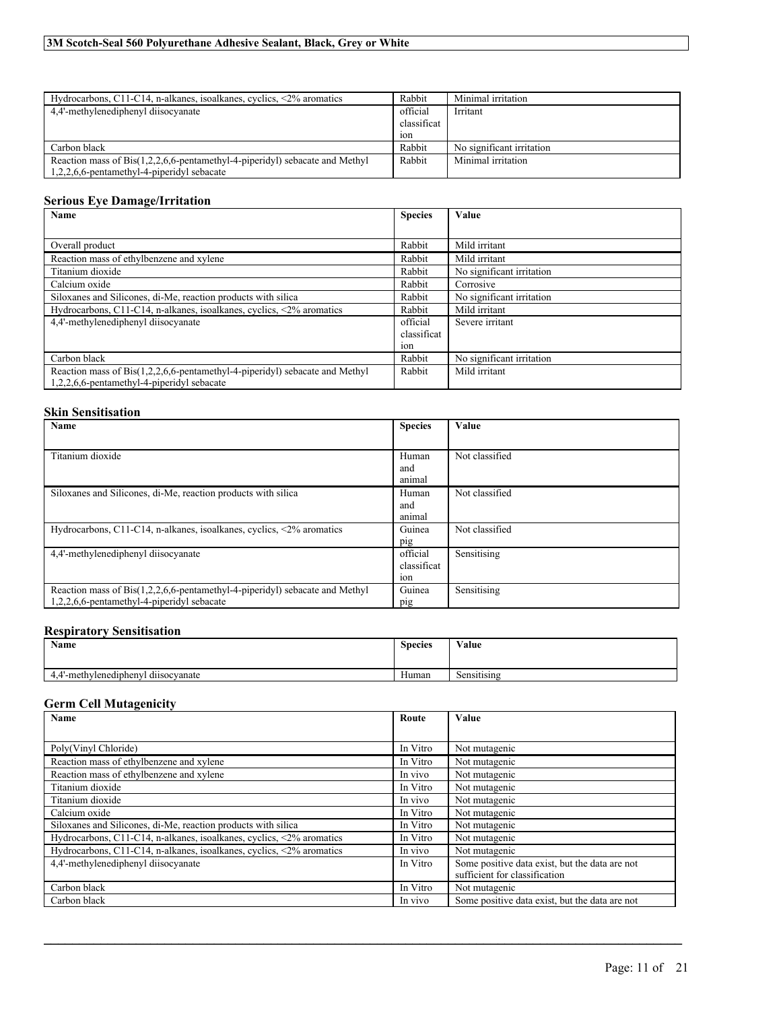| Hydrocarbons, C11-C14, n-alkanes, isoalkanes, cyclics, $\langle 2\%$ aromatics      | Rabbit      | Minimal irritation        |
|-------------------------------------------------------------------------------------|-------------|---------------------------|
| 4.4'-methylenediphenyl diisocyanate                                                 | official    | Irritant                  |
|                                                                                     | classificat |                           |
|                                                                                     | 10n         |                           |
| Carbon black                                                                        | Rabbit      | No significant irritation |
| Reaction mass of $ Bis(1, 2, 2, 6, 6$ -pentamethyl-4-piperidyl) sebacate and Methyl | Rabbit      | Minimal irritation        |
| $1,2,2,6,6$ -pentamethyl-4-piperidyl sebacate                                       |             |                           |

# **Serious Eye Damage/Irritation**

| Name                                                                           | <b>Species</b> | Value                     |
|--------------------------------------------------------------------------------|----------------|---------------------------|
|                                                                                |                |                           |
| Overall product                                                                | Rabbit         | Mild irritant             |
| Reaction mass of ethylbenzene and xylene                                       | Rabbit         | Mild irritant             |
| Titanium dioxide                                                               | Rabbit         | No significant irritation |
| Calcium oxide                                                                  | Rabbit         | Corrosive                 |
| Siloxanes and Silicones, di-Me, reaction products with silica                  | Rabbit         | No significant irritation |
| Hydrocarbons, C11-C14, n-alkanes, isoalkanes, cyclics, $\langle 2\%$ aromatics | Rabbit         | Mild irritant             |
| 4.4'-methylenediphenyl diisocyanate                                            | official       | Severe irritant           |
|                                                                                | classificat    |                           |
|                                                                                | 10n            |                           |
| Carbon black                                                                   | Rabbit         | No significant irritation |
| Reaction mass of Bis(1,2,2,6,6-pentamethyl-4-piperidyl) sebacate and Methyl    | Rabbit         | Mild irritant             |
| 1,2,2,6,6-pentamethyl-4-piperidyl sebacate                                     |                |                           |

# **Skin Sensitisation**

| Name                                                                           | <b>Species</b> | Value          |
|--------------------------------------------------------------------------------|----------------|----------------|
|                                                                                |                |                |
| Titanium dioxide                                                               | Human          | Not classified |
|                                                                                | and<br>animal  |                |
| Siloxanes and Silicones, di-Me, reaction products with silica                  | Human          | Not classified |
|                                                                                | and<br>animal  |                |
| Hydrocarbons, C11-C14, n-alkanes, isoalkanes, cyclics, $\langle 2\%$ aromatics | Guinea         | Not classified |
|                                                                                | pig            |                |
| 4.4'-methylenediphenyl diisocyanate                                            | official       | Sensitising    |
|                                                                                | classificat    |                |
|                                                                                | 10n            |                |
| Reaction mass of Bis(1,2,2,6,6-pentamethyl-4-piperidyl) sebacate and Methyl    | Guinea         | Sensitising    |
| $1,2,2,6,6$ -pentamethyl-4-piperidyl sebacate                                  | pig            |                |

# **Respiratory Sensitisation**

| Name                                                     | <b>Species</b> | Value                   |
|----------------------------------------------------------|----------------|-------------------------|
|                                                          |                |                         |
| $\cdots$<br>l'-methylenediphenyl<br>i dusocvanate<br>4.4 | Human          | $\cdots$<br>Sensitising |

# **Germ Cell Mutagenicity**

| Name                                                                           | Route    | <b>Value</b>                                   |
|--------------------------------------------------------------------------------|----------|------------------------------------------------|
|                                                                                |          |                                                |
| Poly(Vinyl Chloride)                                                           | In Vitro | Not mutagenic                                  |
| Reaction mass of ethylbenzene and xylene                                       | In Vitro | Not mutagenic                                  |
| Reaction mass of ethylbenzene and xylene                                       | In vivo  | Not mutagenic                                  |
| Titanium dioxide                                                               | In Vitro | Not mutagenic                                  |
| Titanium dioxide                                                               | In vivo  | Not mutagenic                                  |
| Calcium oxide                                                                  | In Vitro | Not mutagenic                                  |
| Siloxanes and Silicones, di-Me, reaction products with silica                  | In Vitro | Not mutagenic                                  |
| Hydrocarbons, C11-C14, n-alkanes, isoalkanes, cyclics, $\langle 2\%$ aromatics | In Vitro | Not mutagenic                                  |
| Hydrocarbons, C11-C14, n-alkanes, isoalkanes, cyclics, $\langle 2\%$ aromatics | In vivo  | Not mutagenic                                  |
| 4.4'-methylenediphenyl diisocyanate                                            | In Vitro | Some positive data exist, but the data are not |
|                                                                                |          | sufficient for classification                  |
| Carbon black                                                                   | In Vitro | Not mutagenic                                  |
| Carbon black                                                                   | In vivo  | Some positive data exist, but the data are not |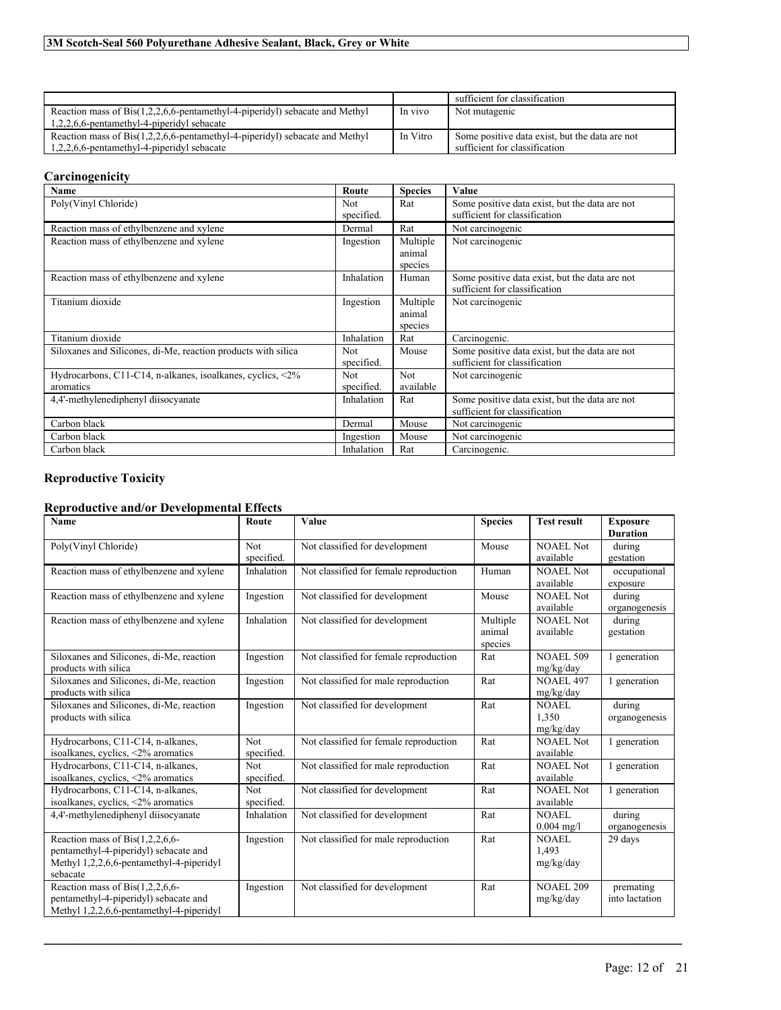|                                                                                |          | sufficient for classification                  |
|--------------------------------------------------------------------------------|----------|------------------------------------------------|
| Reaction mass of $Bis(1,2,2,6,6$ -pentamethyl-4-piperidyl) sebacate and Methyl | In vivo  | Not mutagenic                                  |
| $1,2,2,6,6$ -pentamethyl-4-piperidyl sebacate                                  |          |                                                |
| Reaction mass of $Bis(1,2,2,6,6$ -pentamethyl-4-piperidyl) sebacate and Methyl | In Vitro | Some positive data exist, but the data are not |
| $1,2,2,6,6$ -pentamethyl-4-piperidyl sebacate                                  |          | sufficient for classification                  |

# **Carcinogenicity**

| <b>Name</b>                                                   | Route      | <b>Species</b> | Value                                          |
|---------------------------------------------------------------|------------|----------------|------------------------------------------------|
| Poly(Vinyl Chloride)                                          | <b>Not</b> | Rat            | Some positive data exist, but the data are not |
|                                                               | specified. |                | sufficient for classification                  |
| Reaction mass of ethylbenzene and xylene                      | Dermal     | Rat            | Not carcinogenic                               |
| Reaction mass of ethylbenzene and xylene                      | Ingestion  | Multiple       | Not carcinogenic                               |
|                                                               |            | animal         |                                                |
|                                                               |            | species        |                                                |
| Reaction mass of ethylbenzene and xylene                      | Inhalation | Human          | Some positive data exist, but the data are not |
|                                                               |            |                | sufficient for classification                  |
| Titanium dioxide                                              | Ingestion  | Multiple       | Not carcinogenic                               |
|                                                               |            | animal         |                                                |
|                                                               |            | species        |                                                |
| Titanium dioxide                                              | Inhalation | Rat            | Carcinogenic.                                  |
| Siloxanes and Silicones, di-Me, reaction products with silica | <b>Not</b> | Mouse          | Some positive data exist, but the data are not |
|                                                               | specified. |                | sufficient for classification                  |
| Hydrocarbons, C11-C14, n-alkanes, isoalkanes, cyclics, <2%    | <b>Not</b> | Not.           | Not carcinogenic                               |
| aromatics                                                     | specified. | available      |                                                |
| 4,4'-methylenediphenyl diisocyanate                           | Inhalation | Rat            | Some positive data exist, but the data are not |
|                                                               |            |                | sufficient for classification                  |
| Carbon black                                                  | Dermal     | Mouse          | Not carcinogenic                               |
| Carbon black                                                  | Ingestion  | Mouse          | Not carcinogenic                               |
| Carbon black                                                  | Inhalation | Rat            | Carcinogenic.                                  |

# **Reproductive Toxicity**

# **Reproductive and/or Developmental Effects**

| Name                                                                                                                                 | Route                    | Value                                  | <b>Species</b>                | <b>Test result</b>                 | <b>Exposure</b><br><b>Duration</b> |
|--------------------------------------------------------------------------------------------------------------------------------------|--------------------------|----------------------------------------|-------------------------------|------------------------------------|------------------------------------|
| Poly(Vinyl Chloride)                                                                                                                 | Not<br>specified.        | Not classified for development         | Mouse                         | <b>NOAEL Not</b><br>available      | during<br>gestation                |
| Reaction mass of ethylbenzene and xylene                                                                                             | Inhalation               | Not classified for female reproduction | Human                         | <b>NOAEL Not</b><br>available      | occupational<br>exposure           |
| Reaction mass of ethylbenzene and xylene                                                                                             | Ingestion                | Not classified for development         | Mouse                         | NOAEL Not<br>available             | during<br>organogenesis            |
| Reaction mass of ethylbenzene and xylene                                                                                             | Inhalation               | Not classified for development         | Multiple<br>animal<br>species | <b>NOAEL Not</b><br>available      | during<br>gestation                |
| Siloxanes and Silicones, di-Me, reaction<br>products with silica                                                                     | Ingestion                | Not classified for female reproduction | Rat                           | <b>NOAEL 509</b><br>mg/kg/day      | 1 generation                       |
| Siloxanes and Silicones, di-Me, reaction<br>products with silica                                                                     | Ingestion                | Not classified for male reproduction   | Rat                           | <b>NOAEL 497</b><br>mg/kg/day      | 1 generation                       |
| Siloxanes and Silicones, di-Me, reaction<br>products with silica                                                                     | Ingestion                | Not classified for development         | Rat                           | NOAEL<br>1,350<br>mg/kg/day        | during<br>organogenesis            |
| Hydrocarbons, C11-C14, n-alkanes,<br>isoalkanes, cyclics, <2% aromatics                                                              | <b>Not</b><br>specified. | Not classified for female reproduction | Rat                           | <b>NOAEL Not</b><br>available      | 1 generation                       |
| Hydrocarbons, C11-C14, n-alkanes,<br>isoalkanes, cyclics, <2% aromatics                                                              | <b>Not</b><br>specified. | Not classified for male reproduction   | Rat                           | <b>NOAEL Not</b><br>available      | 1 generation                       |
| Hydrocarbons, C11-C14, n-alkanes,<br>isoalkanes, cyclics, <2% aromatics                                                              | <b>Not</b><br>specified. | Not classified for development         | Rat                           | NOAEL Not<br>available             | 1 generation                       |
| 4,4'-methylenediphenyl diisocyanate                                                                                                  | Inhalation               | Not classified for development         | Rat                           | NOAEL<br>$0.004 \text{ mg/l}$      | during<br>organogenesis            |
| Reaction mass of Bis $(1,2,2,6,6$ -<br>pentamethyl-4-piperidyl) sebacate and<br>Methyl 1,2,2,6,6-pentamethyl-4-piperidyl<br>sebacate | Ingestion                | Not classified for male reproduction   | Rat                           | <b>NOAEL</b><br>1.493<br>mg/kg/day | 29 days                            |
| Reaction mass of Bis $(1,2,2,6,6$ -<br>pentamethyl-4-piperidyl) sebacate and<br>Methyl 1,2,2,6,6-pentamethyl-4-piperidyl             | Ingestion                | Not classified for development         | Rat                           | <b>NOAEL 209</b><br>mg/kg/day      | premating<br>into lactation        |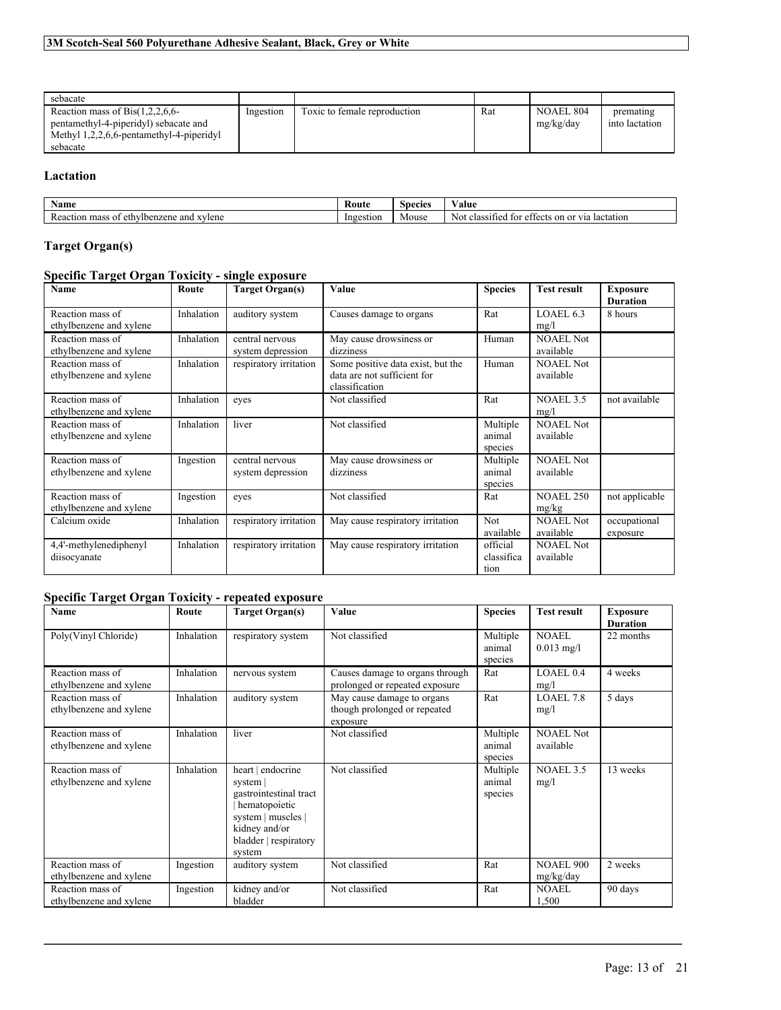| sebacate                                                                                                                           |           |                              |     |                        |                             |
|------------------------------------------------------------------------------------------------------------------------------------|-----------|------------------------------|-----|------------------------|-----------------------------|
| Reaction mass of $Bis(1,2,2,6,6-$<br>pentamethyl-4-piperidyl) sebacate and<br>Methyl 1,2,2,6,6-pentamethyl-4-piperidyl<br>sebacate | Ingestion | Toxic to female reproduction | Rat | NOAEL 804<br>mg/kg/day | premating<br>into lactation |

# **Lactation**

| vame                                                 | - Koute   | snecies | w.<br>√alue                                                                                 |
|------------------------------------------------------|-----------|---------|---------------------------------------------------------------------------------------------|
| ivlbenzene and<br>mas<br>xvlene<br>ethy<br>3 O1<br>. | Ingestion | Mouse   | . or<br>via.<br>lactation<br>Not<br>0.01<br>tor<br>on<br>cia<br>effects<br>.11 <sup>°</sup> |

# **Target Organ(s)**

# **Specific Target Organ Toxicity - single exposure**

| Name                                        | Route      | <b>Target Organ(s)</b>               | Value                                                                              | <b>Species</b>                 | <b>Test result</b>            | <b>Exposure</b><br><b>Duration</b> |
|---------------------------------------------|------------|--------------------------------------|------------------------------------------------------------------------------------|--------------------------------|-------------------------------|------------------------------------|
| Reaction mass of<br>ethylbenzene and xylene | Inhalation | auditory system                      | Causes damage to organs                                                            | Rat                            | LOAEL 6.3<br>mg/l             | 8 hours                            |
| Reaction mass of<br>ethylbenzene and xylene | Inhalation | central nervous<br>system depression | May cause drowsiness or<br>dizziness                                               | Human                          | <b>NOAEL Not</b><br>available |                                    |
| Reaction mass of<br>ethylbenzene and xylene | Inhalation | respiratory irritation               | Some positive data exist, but the<br>data are not sufficient for<br>classification | Human                          | <b>NOAEL Not</b><br>available |                                    |
| Reaction mass of<br>ethylbenzene and xylene | Inhalation | eves                                 | Not classified                                                                     | Rat                            | NOAEL 3.5<br>mg/l             | not available                      |
| Reaction mass of<br>ethylbenzene and xylene | Inhalation | liver                                | Not classified                                                                     | Multiple<br>animal<br>species  | <b>NOAEL Not</b><br>available |                                    |
| Reaction mass of<br>ethylbenzene and xylene | Ingestion  | central nervous<br>system depression | May cause drowsiness or<br>dizziness                                               | Multiple<br>animal<br>species  | <b>NOAEL Not</b><br>available |                                    |
| Reaction mass of<br>ethylbenzene and xylene | Ingestion  | eves                                 | Not classified                                                                     | Rat                            | <b>NOAEL 250</b><br>mg/kg     | not applicable                     |
| Calcium oxide                               | Inhalation | respiratory irritation               | May cause respiratory irritation                                                   | Not<br>available               | <b>NOAEL Not</b><br>available | occupational<br>exposure           |
| 4,4'-methylenediphenyl<br>diisocyanate      | Inhalation | respiratory irritation               | May cause respiratory irritation                                                   | official<br>classifica<br>tion | <b>NOAEL Not</b><br>available |                                    |

# **Specific Target Organ Toxicity - repeated exposure**

| Name                                        | Route      | <b>Target Organ(s)</b>                                                                                                                             | Value                                                                  | <b>Species</b>                | <b>Test result</b>            | <b>Exposure</b><br><b>Duration</b> |
|---------------------------------------------|------------|----------------------------------------------------------------------------------------------------------------------------------------------------|------------------------------------------------------------------------|-------------------------------|-------------------------------|------------------------------------|
| Poly(Vinyl Chloride)                        | Inhalation | respiratory system                                                                                                                                 | Not classified                                                         | Multiple<br>animal<br>species | <b>NOAEL</b><br>$0.013$ mg/l  | 22 months                          |
| Reaction mass of<br>ethylbenzene and xylene | Inhalation | nervous system                                                                                                                                     | Causes damage to organs through<br>prolonged or repeated exposure      | Rat                           | LOAEL <sub>0.4</sub><br>mg/l  | 4 weeks                            |
| Reaction mass of<br>ethylbenzene and xylene | Inhalation | auditory system                                                                                                                                    | May cause damage to organs<br>though prolonged or repeated<br>exposure | Rat                           | LOAEL 7.8<br>mg/l             | 5 days                             |
| Reaction mass of<br>ethylbenzene and xylene | Inhalation | liver                                                                                                                                              | Not classified                                                         | Multiple<br>animal<br>species | <b>NOAEL Not</b><br>available |                                    |
| Reaction mass of<br>ethylbenzene and xylene | Inhalation | heart   endocrine<br>system  <br>gastrointestinal tract<br>hematopoietic<br>system   muscles  <br>kidney and/or<br>bladder   respiratory<br>system | Not classified                                                         | Multiple<br>animal<br>species | <b>NOAEL 3.5</b><br>mg/l      | 13 weeks                           |
| Reaction mass of<br>ethylbenzene and xylene | Ingestion  | auditory system                                                                                                                                    | Not classified                                                         | Rat                           | <b>NOAEL 900</b><br>mg/kg/day | 2 weeks                            |
| Reaction mass of<br>ethylbenzene and xylene | Ingestion  | kidney and/or<br>bladder                                                                                                                           | Not classified                                                         | Rat                           | <b>NOAEL</b><br>1,500         | 90 days                            |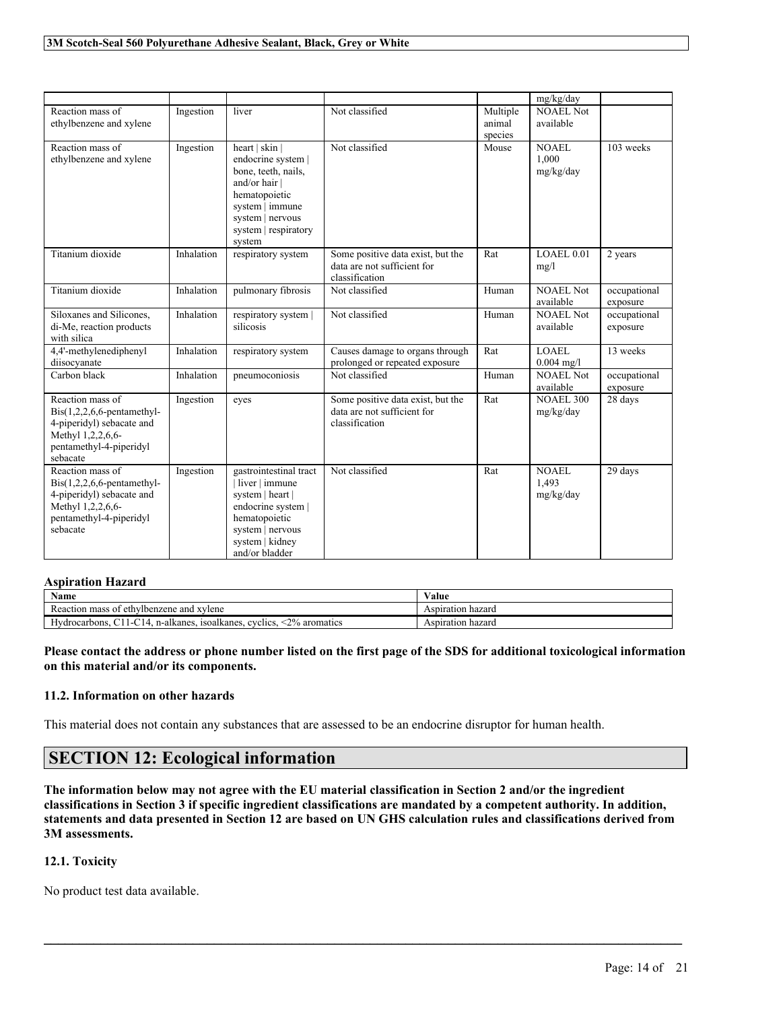|                                                                                                                                            |            |                                                                                                                                                                      |                                                                                    |                               | mg/kg/day                     |                          |
|--------------------------------------------------------------------------------------------------------------------------------------------|------------|----------------------------------------------------------------------------------------------------------------------------------------------------------------------|------------------------------------------------------------------------------------|-------------------------------|-------------------------------|--------------------------|
| Reaction mass of<br>ethylbenzene and xylene                                                                                                | Ingestion  | liver                                                                                                                                                                | Not classified                                                                     | Multiple<br>animal<br>species | NOAEL Not<br>available        |                          |
| Reaction mass of<br>ethylbenzene and xylene                                                                                                | Ingestion  | heart   skin  <br>endocrine system  <br>bone, teeth, nails,<br>and/or hair<br>hematopoietic<br>system   immune<br>system   nervous<br>system   respiratory<br>system | Not classified                                                                     | Mouse                         | NOAEL<br>1.000<br>mg/kg/day   | 103 weeks                |
| Titanium dioxide                                                                                                                           | Inhalation | respiratory system                                                                                                                                                   | Some positive data exist, but the<br>data are not sufficient for<br>classification | Rat                           | LOAEL 0.01<br>mg/l            | 2 years                  |
| Titanium dioxide                                                                                                                           | Inhalation | pulmonary fibrosis                                                                                                                                                   | Not classified                                                                     | Human                         | <b>NOAEL Not</b><br>available | occupational<br>exposure |
| Siloxanes and Silicones,<br>di-Me, reaction products<br>with silica                                                                        | Inhalation | respiratory system  <br>silicosis                                                                                                                                    | Not classified                                                                     | Human                         | <b>NOAEL Not</b><br>available | occupational<br>exposure |
| 4,4'-methylenediphenyl<br>diisocvanate                                                                                                     | Inhalation | respiratory system                                                                                                                                                   | Causes damage to organs through<br>prolonged or repeated exposure                  | Rat                           | <b>LOAEL</b><br>$0.004$ mg/l  | 13 weeks                 |
| Carbon black                                                                                                                               | Inhalation | pneumoconiosis                                                                                                                                                       | Not classified                                                                     | Human                         | <b>NOAEL Not</b><br>available | occupational<br>exposure |
| Reaction mass of<br>$Dis(1,2,2,6,6$ -pentamethyl-<br>4-piperidyl) sebacate and<br>Methyl 1,2,2,6,6-<br>pentamethyl-4-piperidyl<br>sebacate | Ingestion  | eyes                                                                                                                                                                 | Some positive data exist, but the<br>data are not sufficient for<br>classification | Rat                           | <b>NOAEL 300</b><br>mg/kg/day | 28 days                  |
| Reaction mass of<br>$Bis(1,2,2,6,6$ -pentamethyl-<br>4-piperidyl) sebacate and<br>Methyl 1,2,2,6,6-<br>pentamethyl-4-piperidyl<br>sebacate | Ingestion  | gastrointestinal tract<br>liver   immune<br>system   heart  <br>endocrine system  <br>hematopoietic<br>system   nervous<br>system   kidney<br>and/or bladder         | Not classified                                                                     | Rat                           | NOAEL<br>1.493<br>mg/kg/day   | 29 days                  |

#### **Aspiration Hazard**

| vame                                                                               | ∕ alue            |
|------------------------------------------------------------------------------------|-------------------|
| mass of<br>xvlene<br>ethylbenzene<br>and<br>Reaction                               | Aspiration hazard |
| <2% aromatics<br>isoalkanes.<br>Hydrocarbons.<br>evelies.<br>n-alkanes.<br>-<br>-1 | Aspiration hazard |

Please contact the address or phone number listed on the first page of the SDS for additional toxicological information **on this material and/or its components.**

#### **11.2. Information on other hazards**

This material does not contain any substances that are assessed to be an endocrine disruptor for human health.

# **SECTION 12: Ecological information**

The information below may not agree with the EU material classification in Section 2 and/or the ingredient classifications in Section 3 if specific ingredient classifications are mandated by a competent authority. In addition, statements and data presented in Section 12 are based on UN GHS calculation rules and classifications derived from **3M assessments.**

 $\mathcal{L}_\mathcal{L} = \mathcal{L}_\mathcal{L} = \mathcal{L}_\mathcal{L} = \mathcal{L}_\mathcal{L} = \mathcal{L}_\mathcal{L} = \mathcal{L}_\mathcal{L} = \mathcal{L}_\mathcal{L} = \mathcal{L}_\mathcal{L} = \mathcal{L}_\mathcal{L} = \mathcal{L}_\mathcal{L} = \mathcal{L}_\mathcal{L} = \mathcal{L}_\mathcal{L} = \mathcal{L}_\mathcal{L} = \mathcal{L}_\mathcal{L} = \mathcal{L}_\mathcal{L} = \mathcal{L}_\mathcal{L} = \mathcal{L}_\mathcal{L}$ 

# **12.1. Toxicity**

No product test data available.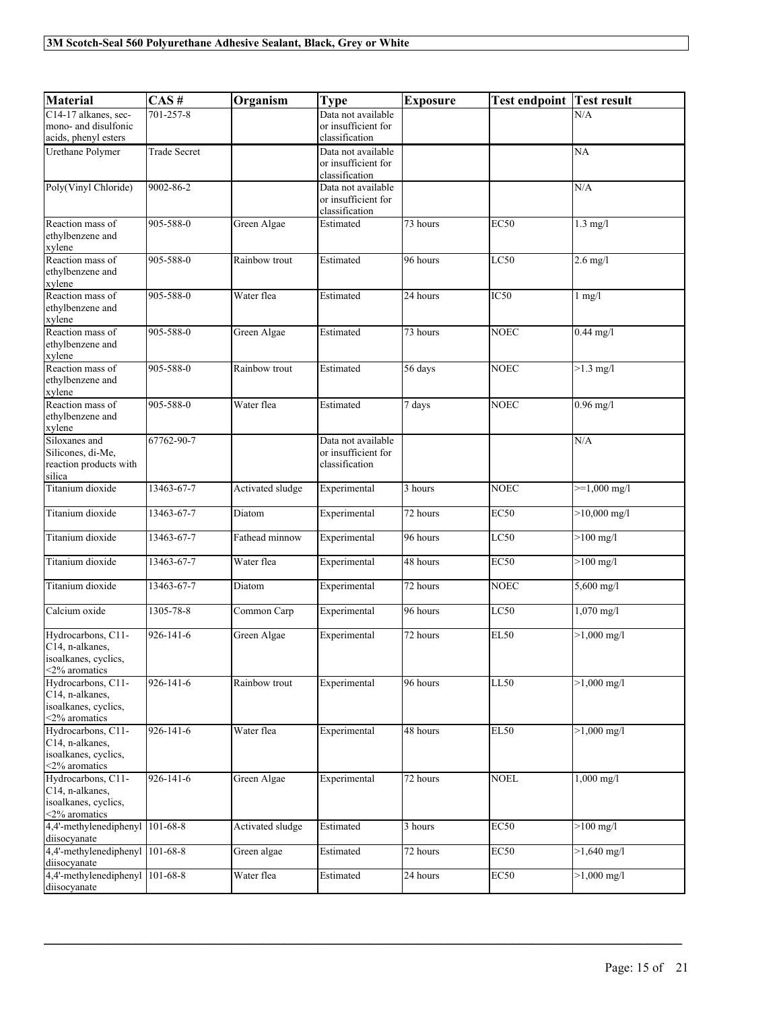| <b>Material</b>                                                                   | CAS#                | Organism         | <b>Type</b>                                                 | <b>Exposure</b>       | <b>Test endpoint Test result</b> |                        |
|-----------------------------------------------------------------------------------|---------------------|------------------|-------------------------------------------------------------|-----------------------|----------------------------------|------------------------|
| C14-17 alkanes, sec-                                                              | 701-257-8           |                  | Data not available                                          |                       |                                  | N/A                    |
| mono- and disulfonic<br>acids, phenyl esters                                      |                     |                  | or insufficient for<br>classification                       |                       |                                  |                        |
| Urethane Polymer                                                                  | <b>Trade Secret</b> |                  | Data not available                                          |                       |                                  | NA                     |
|                                                                                   |                     |                  | or insufficient for<br>classification                       |                       |                                  |                        |
| Poly(Vinyl Chloride)                                                              | 9002-86-2           |                  | Data not available                                          |                       |                                  | N/A                    |
|                                                                                   |                     |                  | or insufficient for<br>classification                       |                       |                                  |                        |
| Reaction mass of                                                                  | 905-588-0           | Green Algae      | Estimated                                                   | $\overline{73}$ hours | EC50                             | $1.3$ mg/l             |
| ethylbenzene and<br>xylene                                                        |                     |                  |                                                             |                       |                                  |                        |
| Reaction mass of<br>ethylbenzene and<br>xylene                                    | 905-588-0           | Rainbow trout    | Estimated                                                   | 96 hours              | LC50                             | $2.6$ mg/l             |
| Reaction mass of<br>ethylbenzene and<br>xylene                                    | 905-588-0           | Water flea       | Estimated                                                   | 24 hours              | IC50                             | $1$ mg/ $1$            |
| Reaction mass of<br>ethylbenzene and<br>xylene                                    | 905-588-0           | Green Algae      | Estimated                                                   | 73 hours              | <b>NOEC</b>                      | $0.44$ mg/l            |
| Reaction mass of<br>ethylbenzene and<br>xylene                                    | 905-588-0           | Rainbow trout    | Estimated                                                   | 56 days               | <b>NOEC</b>                      | $>1.3 \text{ mg/l}$    |
| Reaction mass of<br>ethylbenzene and<br>xylene                                    | 905-588-0           | Water flea       | Estimated                                                   | 7 days                | <b>NOEC</b>                      | $0.96$ mg/l            |
| Siloxanes and<br>Silicones, di-Me,<br>reaction products with<br>silica            | 67762-90-7          |                  | Data not available<br>or insufficient for<br>classification |                       |                                  | N/A                    |
| Titanium dioxide                                                                  | 13463-67-7          | Activated sludge | Experimental                                                | 3 hours               | <b>NOEC</b>                      | $>=1,000 \text{ mg/l}$ |
| Titanium dioxide                                                                  | 13463-67-7          | Diatom           | Experimental                                                | 72 hours              | <b>EC50</b>                      | $>10,000$ mg/l         |
| Titanium dioxide                                                                  | 13463-67-7          | Fathead minnow   | Experimental                                                | 96 hours              | LC50                             | $>100$ mg/l            |
| Titanium dioxide                                                                  | 13463-67-7          | Water flea       | Experimental                                                | 48 hours              | <b>EC50</b>                      | $>100$ mg/l            |
| Titanium dioxide                                                                  | 13463-67-7          | Diatom           | Experimental                                                | 72 hours              | <b>NOEC</b>                      | $5,600$ mg/l           |
| Calcium oxide                                                                     | 1305-78-8           | Common Carp      | Experimental                                                | 96 hours              | LC50                             | $1,070$ mg/l           |
| Hydrocarbons, C11-<br>C14, n-alkanes,<br>isoalkanes, cyclics,<br><2% aromatics    | 926-141-6           | Green Algae      | Experimental                                                | 72 hours              | <b>EL50</b>                      | $>1,000 \text{ mg/l}$  |
| Hydrocarbons, C11-<br>C14, n-alkanes,<br>isoalkanes, cyclics,<br><2% aromatics    | 926-141-6           | Rainbow trout    | Experimental                                                | 96 hours              | LL50                             | $>1,000$ mg/l          |
| Hydrocarbons, C11-<br>C14, n-alkanes,<br>isoalkanes, cyclics,<br>$<$ 2% aromatics | 926-141-6           | Water flea       | Experimental                                                | 48 hours              | <b>EL50</b>                      | $>1,000$ mg/l          |
| Hydrocarbons, C11-<br>C14, n-alkanes,<br>isoalkanes, cyclics,<br><2% aromatics    | 926-141-6           | Green Algae      | Experimental                                                | 72 hours              | <b>NOEL</b>                      | $1,000$ mg/l           |
| 4,4'-methylenediphenyl<br>diisocyanate                                            | 101-68-8            | Activated sludge | Estimated                                                   | 3 hours               | EC50                             | $>100$ mg/l            |
| 4,4'-methylenediphenyl 101-68-8<br>diisocyanate                                   |                     | Green algae      | Estimated                                                   | 72 hours              | EC50                             | $>1,640$ mg/l          |
| 4,4'-methylenediphenyl<br>diisocyanate                                            | $101 - 68 - 8$      | Water flea       | Estimated                                                   | 24 hours              | EC50                             | $>1,000$ mg/l          |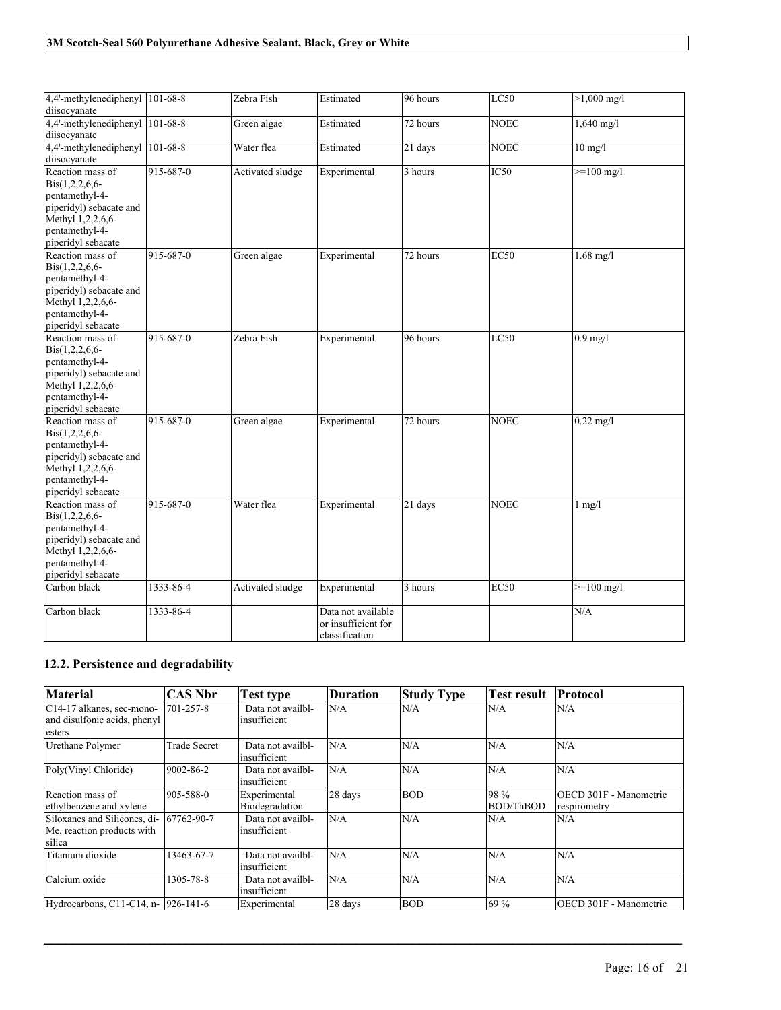| 4,4'-methylenediphenyl   $101-68-8$<br>diisocvanate                                                                                                   |           | Zebra Fish       | Estimated                                                   | 96 hours | LC50        | $>1,000 \text{ mg/l}$        |
|-------------------------------------------------------------------------------------------------------------------------------------------------------|-----------|------------------|-------------------------------------------------------------|----------|-------------|------------------------------|
| 4,4'-methylenediphenyl 101-68-8<br>diisocvanate                                                                                                       |           | Green algae      | Estimated                                                   | 72 hours | <b>NOEC</b> | $1,640 \text{ mg/l}$         |
| 4,4'-methylenediphenyl<br>diisocyanate                                                                                                                | 101-68-8  | Water flea       | Estimated                                                   | 21 days  | <b>NOEC</b> | $10$ mg/l                    |
| Reaction mass of<br>Bis(1,2,2,6,6-<br>pentamethyl-4-<br>piperidyl) sebacate and<br>Methyl 1,2,2,6,6-<br>pentamethyl-4-<br>piperidyl sebacate          | 915-687-0 | Activated sludge | Experimental                                                | 3 hours  | IC50        | $>=100$ mg/l                 |
| Reaction mass of<br>$\text{Bis}(1,2,2,6,6-$<br>pentamethyl-4-<br>piperidyl) sebacate and<br>Methyl 1,2,2,6,6-<br>pentamethyl-4-<br>piperidyl sebacate | 915-687-0 | Green algae      | Experimental                                                | 72 hours | <b>EC50</b> | $1.68 \text{ mg/l}$          |
| Reaction mass of<br>Bis(1,2,2,6,6-<br>pentamethyl-4-<br>piperidyl) sebacate and<br>Methyl 1,2,2,6,6-<br>pentamethyl-4-<br>piperidyl sebacate          | 915-687-0 | Zebra Fish       | Experimental                                                | 96 hours | LC50        | $0.9 \overline{\mathrm{mg}}$ |
| Reaction mass of<br>Bis(1,2,2,6,6-<br>pentamethyl-4-<br>piperidyl) sebacate and<br>Methyl 1,2,2,6,6-<br>pentamethyl-4-<br>piperidyl sebacate          | 915-687-0 | Green algae      | Experimental                                                | 72 hours | <b>NOEC</b> | $0.22$ mg/l                  |
| Reaction mass of<br>$\text{Bis}(1,2,2,6,6-$<br>pentamethyl-4-<br>piperidyl) sebacate and<br>Methyl 1,2,2,6,6-<br>pentamethyl-4-<br>piperidyl sebacate | 915-687-0 | Water flea       | Experimental                                                | 21 days  | <b>NOEC</b> | $1$ mg/ $1$                  |
| Carbon black                                                                                                                                          | 1333-86-4 | Activated sludge | Experimental                                                | 3 hours  | <b>EC50</b> | $>=100$ mg/l                 |
| Carbon black                                                                                                                                          | 1333-86-4 |                  | Data not available<br>or insufficient for<br>classification |          |             | N/A                          |

# **12.2. Persistence and degradability**

| <b>Material</b>                                                                  | <b>CAS Nbr</b>      | Test type                         | Duration | <b>Study Type</b> | <b>Test result</b>       | Protocol                                      |
|----------------------------------------------------------------------------------|---------------------|-----------------------------------|----------|-------------------|--------------------------|-----------------------------------------------|
| C <sub>14</sub> -17 alkanes, sec-mono-<br>and disulfonic acids, phenyl<br>esters | 701-257-8           | Data not availbl-<br>insufficient | N/A      | N/A               | N/A                      | N/A                                           |
| Urethane Polymer                                                                 | <b>Trade Secret</b> | Data not availbl-<br>insufficient | N/A      | N/A               | N/A                      | N/A                                           |
| Poly(Vinyl Chloride)                                                             | 9002-86-2           | Data not availbl-<br>insufficient | N/A      | N/A               | N/A                      | N/A                                           |
| Reaction mass of<br>ethylbenzene and xylene                                      | 905-588-0           | Experimental<br>Biodegradation    | 28 days  | <b>BOD</b>        | 98 %<br><b>BOD/ThBOD</b> | <b>OECD 301F - Manometric</b><br>respirometry |
| Siloxanes and Silicones, di- 67762-90-7<br>Me, reaction products with<br>silica  |                     | Data not availbl-<br>insufficient | N/A      | N/A               | N/A                      | N/A                                           |
| Titanium dioxide                                                                 | 13463-67-7          | Data not availbl-<br>insufficient | N/A      | N/A               | N/A                      | N/A                                           |
| Calcium oxide                                                                    | 1305-78-8           | Data not availbl-<br>insufficient | N/A      | N/A               | N/A                      | N/A                                           |
| Hydrocarbons, C11-C14, n- 926-141-6                                              |                     | Experimental                      | 28 days  | <b>BOD</b>        | 69 %                     | IOECD 301F - Manometric                       |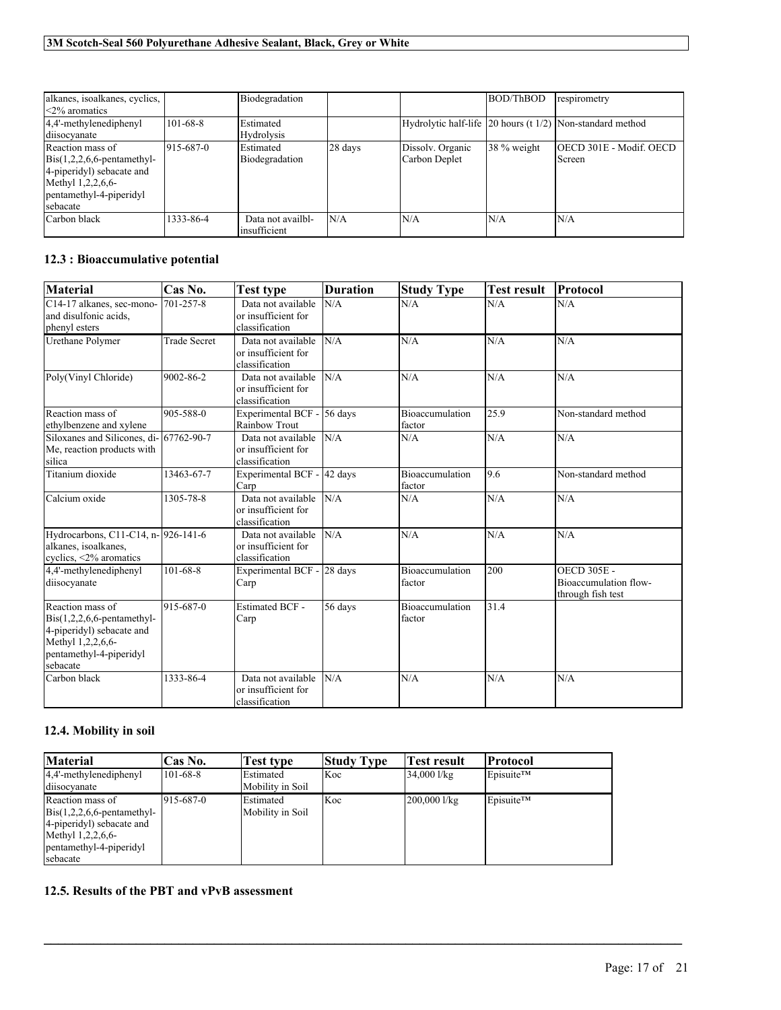| alkanes, isoalkanes, cyclics,<br>$\leq$ 2% aromatics                                                                                                    |                | Biodegradation                     |         |                                   | BOD/ThBOD   | respirometry                                              |
|---------------------------------------------------------------------------------------------------------------------------------------------------------|----------------|------------------------------------|---------|-----------------------------------|-------------|-----------------------------------------------------------|
| 4,4'-methylenediphenyl<br>diisocyanate                                                                                                                  | $101 - 68 - 8$ | <b>IEstimated</b><br>Hydrolysis    |         |                                   |             | Hydrolytic half-life 20 hours (t 1/2) Non-standard method |
| Reaction mass of<br>$\text{Bis}(1,2,2,6,6\text{-pentamethyl-}$<br>4-piperidyl) sebacate and<br>Methyl 1,2,2,6,6-<br>pentamethyl-4-piperidyl<br>sebacate | 915-687-0      | <b>Estimated</b><br>Biodegradation | 28 days | Dissolv. Organic<br>Carbon Deplet | 38 % weight | <b>IOECD 301E - Modif. OECD</b><br>Screen                 |
| Carbon black                                                                                                                                            | 1333-86-4      | Data not availbl-<br>insufficient  | N/A     | N/A                               | N/A         | N/A                                                       |

# **12.3 : Bioaccumulative potential**

| <b>Material</b>                                                                                                                            | Cas No.             | <b>Test type</b>                                            | <b>Duration</b> | <b>Study Type</b>                | <b>Test result</b> | Protocol                                                         |
|--------------------------------------------------------------------------------------------------------------------------------------------|---------------------|-------------------------------------------------------------|-----------------|----------------------------------|--------------------|------------------------------------------------------------------|
| C14-17 alkanes, sec-mono-<br>and disulfonic acids.<br>phenyl esters                                                                        | 701-257-8           | Data not available<br>or insufficient for<br>classification | N/A             | N/A                              | N/A                | N/A                                                              |
| Urethane Polymer                                                                                                                           | <b>Trade Secret</b> | Data not available<br>or insufficient for<br>classification | N/A             | N/A                              | N/A                | N/A                                                              |
| Poly(Vinyl Chloride)                                                                                                                       | 9002-86-2           | Data not available<br>or insufficient for<br>classification | N/A             | N/A                              | N/A                | N/A                                                              |
| Reaction mass of<br>ethylbenzene and xylene                                                                                                | 905-588-0           | Experimental BCF -<br><b>Rainbow Trout</b>                  | $56$ days       | <b>Bioaccumulation</b><br>factor | 25.9               | Non-standard method                                              |
| Siloxanes and Silicones, di-167762-90-7<br>Me, reaction products with<br>silica                                                            |                     | Data not available<br>or insufficient for<br>classification | N/A             | N/A                              | N/A                | N/A                                                              |
| Titanium dioxide                                                                                                                           | 13463-67-7          | Experimental BCF -<br>Carp                                  | 42 days         | <b>Bioaccumulation</b><br>factor | 9.6                | Non-standard method                                              |
| Calcium oxide                                                                                                                              | 1305-78-8           | Data not available<br>or insufficient for<br>classification | N/A             | N/A                              | N/A                | N/A                                                              |
| Hydrocarbons, C11-C14, n- 926-141-6<br>alkanes, isoalkanes,<br>cyclics, $\leq 2\%$ aromatics                                               |                     | Data not available<br>or insufficient for<br>classification | N/A             | N/A                              | N/A                | N/A                                                              |
| 4,4'-methylenediphenyl<br>diisocyanate                                                                                                     | 101-68-8            | Experimental BCF -<br>Carp                                  | 28 days         | Bioaccumulation<br>factor        | 200                | <b>OECD 305E -</b><br>Bioaccumulation flow-<br>through fish test |
| Reaction mass of<br>$Bis(1,2,2,6,6$ -pentamethyl-<br>4-piperidyl) sebacate and<br>Methyl 1,2,2,6,6-<br>pentamethyl-4-piperidyl<br>sebacate | 915-687-0           | <b>Estimated BCF -</b><br>Carp                              | 56 days         | <b>Bioaccumulation</b><br>factor | 31.4               |                                                                  |
| Carbon black                                                                                                                               | 1333-86-4           | Data not available<br>or insufficient for<br>classification | N/A             | N/A                              | N/A                | N/A                                                              |

# **12.4. Mobility in soil**

| <b>Material</b>                                                                                                                                         | Cas No.        | Test type                             | Study Type | Test result             | Protocol               |
|---------------------------------------------------------------------------------------------------------------------------------------------------------|----------------|---------------------------------------|------------|-------------------------|------------------------|
| 4.4'-methylenediphenyl<br>diisocvanate                                                                                                                  | $101 - 68 - 8$ | <b>Estimated</b><br>lMobility in Soil | Koc        | 34,000 l/kg             | Episuite <sup>TM</sup> |
| Reaction mass of<br>$\text{Bis}(1,2,2,6,6\text{-pentamethyl-}$<br>4-piperidyl) sebacate and<br>Methyl 1,2,2,6,6-<br>pentamethyl-4-piperidyl<br>sebacate | 915-687-0      | Estimated<br>Mobility in Soil         | Koc        | $200,000$ $1/\text{kg}$ | Episuite <sup>TM</sup> |

 $\mathcal{L}_\mathcal{L} = \mathcal{L}_\mathcal{L} = \mathcal{L}_\mathcal{L} = \mathcal{L}_\mathcal{L} = \mathcal{L}_\mathcal{L} = \mathcal{L}_\mathcal{L} = \mathcal{L}_\mathcal{L} = \mathcal{L}_\mathcal{L} = \mathcal{L}_\mathcal{L} = \mathcal{L}_\mathcal{L} = \mathcal{L}_\mathcal{L} = \mathcal{L}_\mathcal{L} = \mathcal{L}_\mathcal{L} = \mathcal{L}_\mathcal{L} = \mathcal{L}_\mathcal{L} = \mathcal{L}_\mathcal{L} = \mathcal{L}_\mathcal{L}$ 

# **12.5. Results of the PBT and vPvB assessment**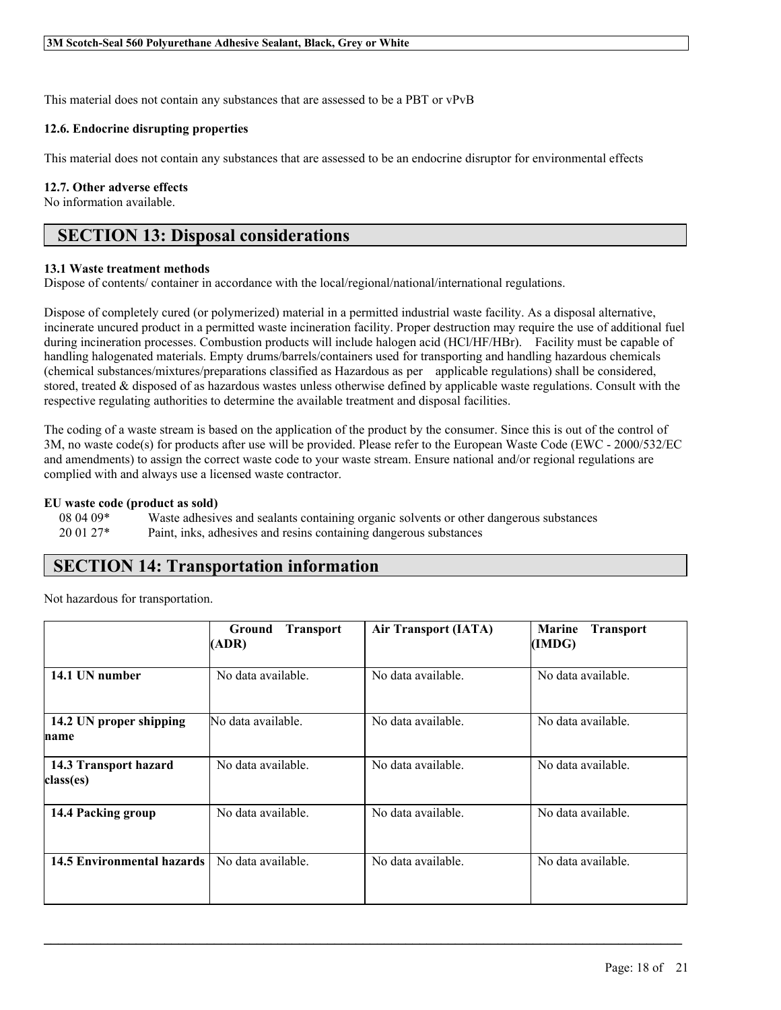This material does not contain any substances that are assessed to be a PBT or vPvB

### **12.6. Endocrine disrupting properties**

This material does not contain any substances that are assessed to be an endocrine disruptor for environmental effects

### **12.7. Other adverse effects**

No information available.

# **SECTION 13: Disposal considerations**

### **13.1 Waste treatment methods**

Dispose of contents/ container in accordance with the local/regional/national/international regulations.

Dispose of completely cured (or polymerized) material in a permitted industrial waste facility. As a disposal alternative, incinerate uncured product in a permitted waste incineration facility. Proper destruction may require the use of additional fuel during incineration processes. Combustion products will include halogen acid (HCl/HF/HBr). Facility must be capable of handling halogenated materials. Empty drums/barrels/containers used for transporting and handling hazardous chemicals (chemical substances/mixtures/preparations classified as Hazardous as per applicable regulations) shall be considered, stored, treated & disposed of as hazardous wastes unless otherwise defined by applicable waste regulations. Consult with the respective regulating authorities to determine the available treatment and disposal facilities.

The coding of a waste stream is based on the application of the product by the consumer. Since this is out of the control of 3M, no waste code(s) for products after use will be provided. Please refer to the European Waste Code (EWC - 2000/532/EC and amendments) to assign the correct waste code to your waste stream. Ensure national and/or regional regulations are complied with and always use a licensed waste contractor.

### **EU waste code (product as sold)**

| $080409*$ | Waste adhesives and sealants containing organic solvents or other dangerous substances |
|-----------|----------------------------------------------------------------------------------------|
| $200127*$ | Paint, inks, adhesives and resins containing dangerous substances                      |

# **SECTION 14: Transportation information**

Not hazardous for transportation.

|                                    | <b>Transport</b><br><b>Ground</b><br>(ADR) | <b>Air Transport (IATA)</b> | <b>Marine</b><br><b>Transport</b><br>(IMDG) |
|------------------------------------|--------------------------------------------|-----------------------------|---------------------------------------------|
| 14.1 UN number                     | No data available.                         | No data available.          | No data available.                          |
| 14.2 UN proper shipping<br>name    | No data available.                         | No data available.          | No data available.                          |
| 14.3 Transport hazard<br>class(es) | No data available.                         | No data available.          | No data available.                          |
| 14.4 Packing group                 | No data available.                         | No data available.          | No data available.                          |
| <b>14.5 Environmental hazards</b>  | No data available.                         | No data available.          | No data available.                          |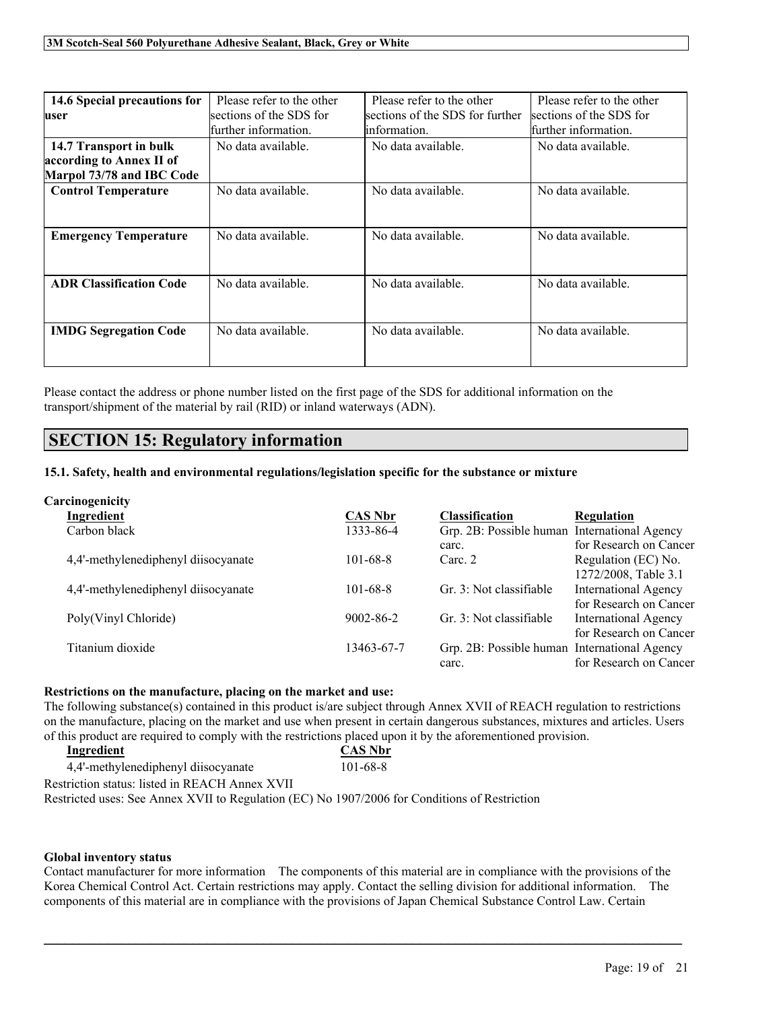| 14.6 Special precautions for<br>user                                            | Please refer to the other<br>sections of the SDS for<br>further information. | Please refer to the other<br>sections of the SDS for further<br>linformation. | Please refer to the other<br>sections of the SDS for<br>further information. |
|---------------------------------------------------------------------------------|------------------------------------------------------------------------------|-------------------------------------------------------------------------------|------------------------------------------------------------------------------|
| 14.7 Transport in bulk<br>according to Annex II of<br>Marpol 73/78 and IBC Code | No data available.                                                           | No data available.                                                            | No data available.                                                           |
| <b>Control Temperature</b>                                                      | No data available.                                                           | No data available.                                                            | No data available.                                                           |
| <b>Emergency Temperature</b>                                                    | No data available.                                                           | No data available.                                                            | No data available.                                                           |
| <b>ADR Classification Code</b>                                                  | No data available.                                                           | No data available.                                                            | No data available.                                                           |
| <b>IMDG Segregation Code</b>                                                    | No data available.                                                           | No data available.                                                            | No data available.                                                           |

Please contact the address or phone number listed on the first page of the SDS for additional information on the transport/shipment of the material by rail (RID) or inland waterways (ADN).

# **SECTION 15: Regulatory information**

# **15.1. Safety, health and environmental regulations/legislation specific for the substance or mixture**

### **Carcinogenicity**

| Ingredient                          | <b>CAS Nbr</b>  | <b>Classification</b>                        | <b>Regulation</b>           |
|-------------------------------------|-----------------|----------------------------------------------|-----------------------------|
| Carbon black                        | 1333-86-4       | Grp. 2B: Possible human International Agency |                             |
|                                     |                 | carc.                                        | for Research on Cancer      |
| 4,4'-methylenediphenyl diisocyanate | $101 - 68 - 8$  | Carc. 2                                      | Regulation (EC) No.         |
|                                     |                 |                                              | 1272/2008, Table 3.1        |
| 4,4'-methylenediphenyl diisocyanate | $101 - 68 - 8$  | Gr. 3: Not classifiable                      | <b>International Agency</b> |
|                                     |                 |                                              | for Research on Cancer      |
| Poly(Vinyl Chloride)                | $9002 - 86 - 2$ | Gr. 3: Not classifiable                      | <b>International Agency</b> |
|                                     |                 |                                              | for Research on Cancer      |
| Titanium dioxide                    | 13463-67-7      | Grp. 2B: Possible human International Agency |                             |
|                                     |                 | carc.                                        | for Research on Cancer      |

#### **Restrictions on the manufacture, placing on the market and use:**

The following substance(s) contained in this product is/are subject through Annex XVII of REACH regulation to restrictions on the manufacture, placing on the market and use when present in certain dangerous substances, mixtures and articles. Users of this product are required to comply with the restrictions placed upon it by the aforementioned provision.

| Ingredient                                                                                    | <b>CAS Nbr</b> |  |
|-----------------------------------------------------------------------------------------------|----------------|--|
| 4.4'-methylenediphenyl diisocyanate                                                           | 101-68-8       |  |
| Restriction status: listed in REACH Annex XVII                                                |                |  |
| Restricted uses: See Annex XVII to Regulation (EC) No 1907/2006 for Conditions of Restriction |                |  |

#### **Global inventory status**

Contact manufacturer for more information The components of this material are in compliance with the provisions of the Korea Chemical Control Act. Certain restrictions may apply. Contact the selling division for additional information. The components of this material are in compliance with the provisions of Japan Chemical Substance Control Law. Certain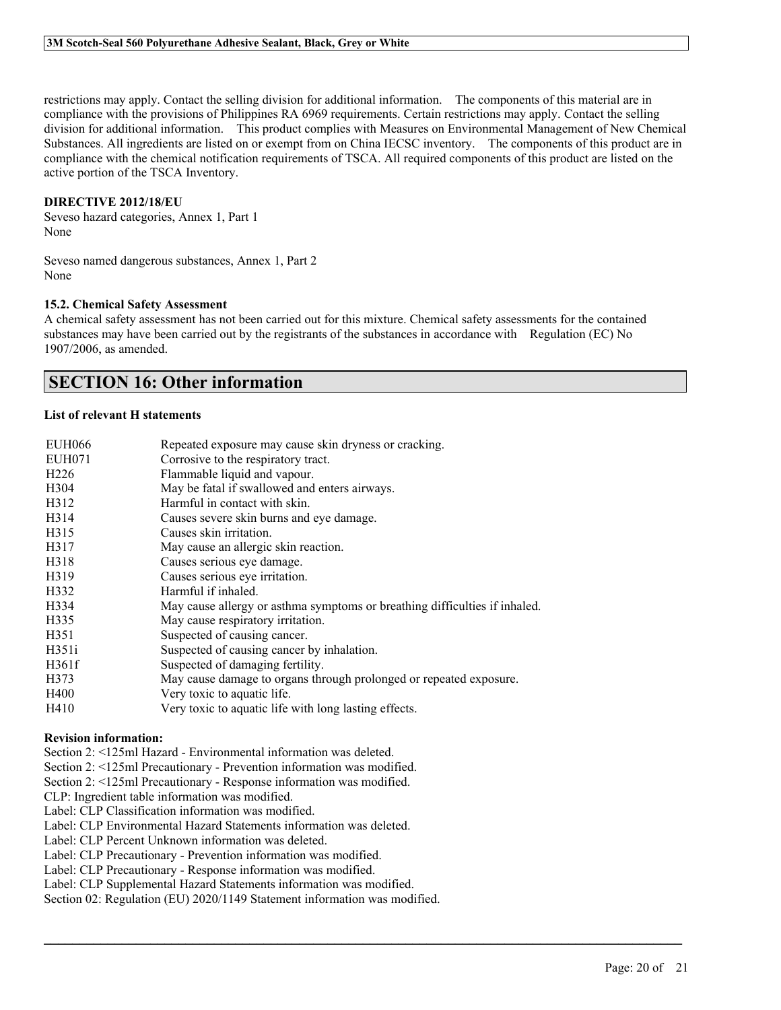restrictions may apply. Contact the selling division for additional information. The components of this material are in compliance with the provisions of Philippines RA 6969 requirements. Certain restrictions may apply. Contact the selling division for additional information. This product complies with Measures on Environmental Management of New Chemical Substances. All ingredients are listed on or exempt from on China IECSC inventory. The components of this product are in compliance with the chemical notification requirements of TSCA. All required components of this product are listed on the active portion of the TSCA Inventory.

### **DIRECTIVE 2012/18/EU**

Seveso hazard categories, Annex 1, Part 1 None

Seveso named dangerous substances, Annex 1, Part 2 None

### **15.2. Chemical Safety Assessment**

A chemical safety assessment has not been carried out for this mixture. Chemical safety assessments for the contained substances may have been carried out by the registrants of the substances in accordance with Regulation (EC) No 1907/2006, as amended.

# **SECTION 16: Other information**

#### **List of relevant H statements**

| <b>EUH066</b>    | Repeated exposure may cause skin dryness or cracking.                      |
|------------------|----------------------------------------------------------------------------|
| EUH071           | Corrosive to the respiratory tract.                                        |
| H <sub>226</sub> | Flammable liquid and vapour.                                               |
| H <sub>304</sub> | May be fatal if swallowed and enters airways.                              |
| H312             | Harmful in contact with skin.                                              |
| H314             | Causes severe skin burns and eye damage.                                   |
| H315             | Causes skin irritation.                                                    |
| H317             | May cause an allergic skin reaction.                                       |
| H318             | Causes serious eye damage.                                                 |
| H319             | Causes serious eye irritation.                                             |
| H332             | Harmful if inhaled.                                                        |
| H334             | May cause allergy or asthma symptoms or breathing difficulties if inhaled. |
| H335             | May cause respiratory irritation.                                          |
| H <sub>351</sub> | Suspected of causing cancer.                                               |
| H351i            | Suspected of causing cancer by inhalation.                                 |
| H361f            | Suspected of damaging fertility.                                           |
| H373             | May cause damage to organs through prolonged or repeated exposure.         |
| H400             | Very toxic to aquatic life.                                                |
| H410             | Very toxic to aquatic life with long lasting effects.                      |

#### **Revision information:**

Section 2: <125ml Hazard - Environmental information was deleted.

Section 2: <125ml Precautionary - Prevention information was modified.

Section 2: <125ml Precautionary - Response information was modified.

CLP: Ingredient table information was modified.

Label: CLP Classification information was modified.

Label: CLP Environmental Hazard Statements information was deleted.

Label: CLP Percent Unknown information was deleted.

Label: CLP Precautionary - Prevention information was modified.

Label: CLP Precautionary - Response information was modified.

Label: CLP Supplemental Hazard Statements information was modified.

Section 02: Regulation (EU) 2020/1149 Statement information was modified.